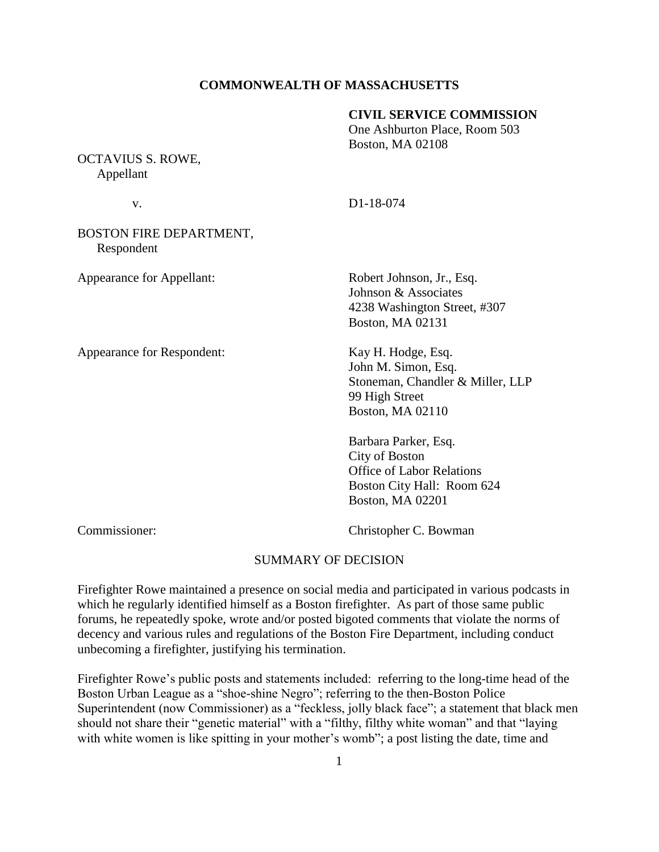# **COMMONWEALTH OF MASSACHUSETTS**

#### **CIVIL SERVICE COMMISSION**

One Ashburton Place, Room 503 Boston, MA 02108

OCTAVIUS S. ROWE, Appellant

v. D1-18-074

BOSTON FIRE DEPARTMENT, Respondent

Appearance for Respondent: Kay H. Hodge, Esq.

Appearance for Appellant: Robert Johnson, Jr., Esq. Johnson & Associates 4238 Washington Street, #307 Boston, MA 02131

> John M. Simon, Esq. Stoneman, Chandler & Miller, LLP 99 High Street Boston, MA 02110

Barbara Parker, Esq. City of Boston Office of Labor Relations Boston City Hall: Room 624 Boston, MA 02201

Commissioner: Christopher C. Bowman

#### SUMMARY OF DECISION

Firefighter Rowe maintained a presence on social media and participated in various podcasts in which he regularly identified himself as a Boston firefighter. As part of those same public forums, he repeatedly spoke, wrote and/or posted bigoted comments that violate the norms of decency and various rules and regulations of the Boston Fire Department, including conduct unbecoming a firefighter, justifying his termination.

Firefighter Rowe's public posts and statements included: referring to the long-time head of the Boston Urban League as a "shoe-shine Negro"; referring to the then-Boston Police Superintendent (now Commissioner) as a "feckless, jolly black face"; a statement that black men should not share their "genetic material" with a "filthy, filthy white woman" and that "laying with white women is like spitting in your mother's womb"; a post listing the date, time and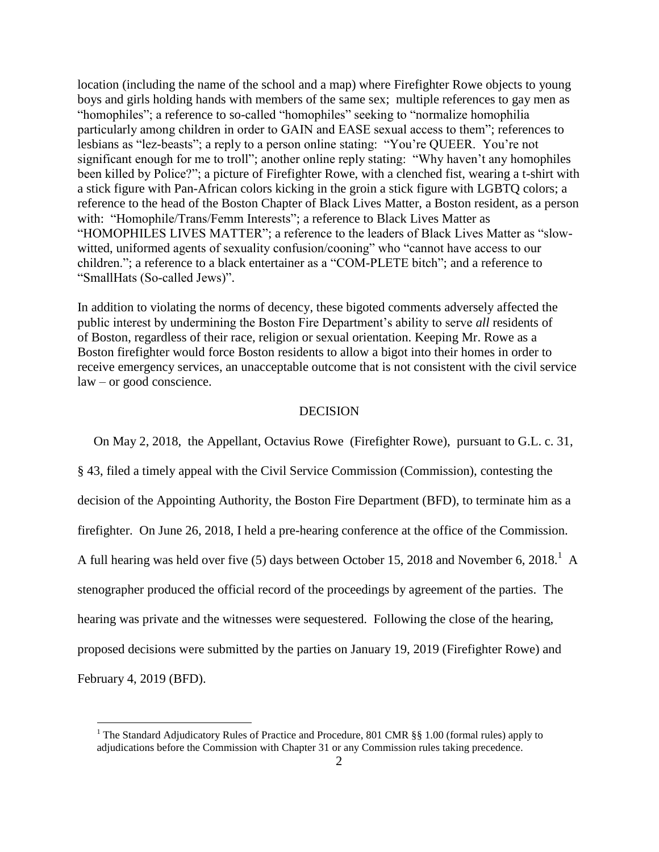location (including the name of the school and a map) where Firefighter Rowe objects to young boys and girls holding hands with members of the same sex; multiple references to gay men as "homophiles"; a reference to so-called "homophiles" seeking to "normalize homophilia particularly among children in order to GAIN and EASE sexual access to them"; references to lesbians as "lez-beasts"; a reply to a person online stating: "You're QUEER. You're not significant enough for me to troll"; another online reply stating: "Why haven't any homophiles been killed by Police?"; a picture of Firefighter Rowe, with a clenched fist, wearing a t-shirt with a stick figure with Pan-African colors kicking in the groin a stick figure with LGBTQ colors; a reference to the head of the Boston Chapter of Black Lives Matter, a Boston resident, as a person with: "Homophile/Trans/Femm Interests"; a reference to Black Lives Matter as "HOMOPHILES LIVES MATTER"; a reference to the leaders of Black Lives Matter as "slowwitted, uniformed agents of sexuality confusion/cooning" who "cannot have access to our children."; a reference to a black entertainer as a "COM-PLETE bitch"; and a reference to "SmallHats (So-called Jews)".

In addition to violating the norms of decency, these bigoted comments adversely affected the public interest by undermining the Boston Fire Department's ability to serve *all* residents of of Boston, regardless of their race, religion or sexual orientation. Keeping Mr. Rowe as a Boston firefighter would force Boston residents to allow a bigot into their homes in order to receive emergency services, an unacceptable outcome that is not consistent with the civil service law – or good conscience.

#### **DECISION**

 On May 2, 2018, the Appellant, Octavius Rowe (Firefighter Rowe), pursuant to G.L. c. 31, § 43, filed a timely appeal with the Civil Service Commission (Commission), contesting the decision of the Appointing Authority, the Boston Fire Department (BFD), to terminate him as a firefighter. On June 26, 2018, I held a pre-hearing conference at the office of the Commission. A full hearing was held over five (5) days between October 15, 2018 and November 6, 2018.<sup>1</sup> A stenographer produced the official record of the proceedings by agreement of the parties. The hearing was private and the witnesses were sequestered. Following the close of the hearing, proposed decisions were submitted by the parties on January 19, 2019 (Firefighter Rowe) and February 4, 2019 (BFD).

 $\overline{a}$ 

<sup>&</sup>lt;sup>1</sup> The Standard Adjudicatory Rules of Practice and Procedure, 801 CMR §§ 1.00 (formal rules) apply to adjudications before the Commission with Chapter 31 or any Commission rules taking precedence.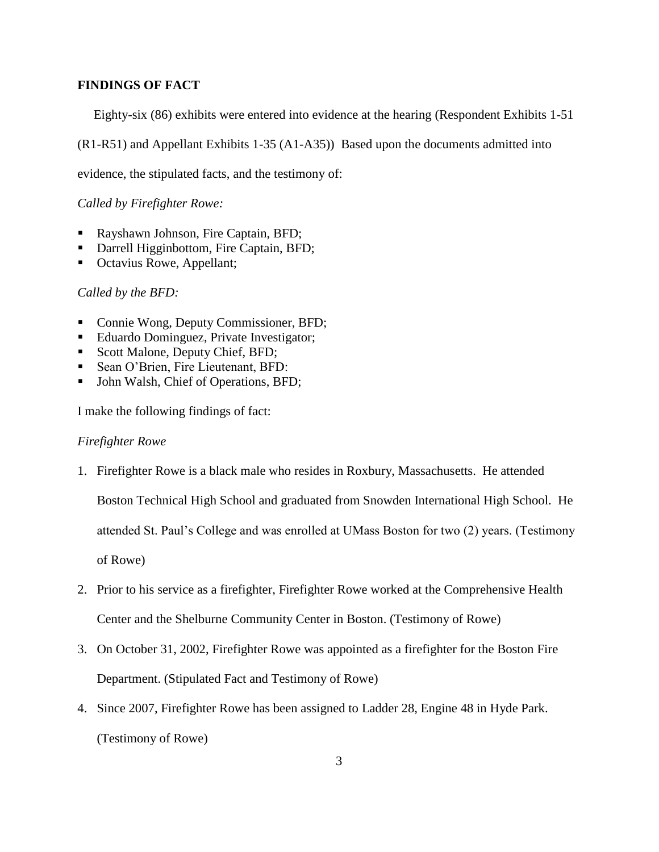## **FINDINGS OF FACT**

Eighty-six (86) exhibits were entered into evidence at the hearing (Respondent Exhibits 1-51

(R1-R51) and Appellant Exhibits 1-35 (A1-A35)) Based upon the documents admitted into

evidence, the stipulated facts, and the testimony of:

*Called by Firefighter Rowe:*

- Rayshawn Johnson, Fire Captain, BFD;
- Darrell Higginbottom, Fire Captain, BFD;
- Octavius Rowe, Appellant;

# *Called by the BFD:*

- Connie Wong, Deputy Commissioner, BFD;
- Eduardo Dominguez, Private Investigator;
- Scott Malone, Deputy Chief, BFD;
- Sean O'Brien, Fire Lieutenant, BFD:
- John Walsh, Chief of Operations, BFD;

I make the following findings of fact:

#### *Firefighter Rowe*

1. Firefighter Rowe is a black male who resides in Roxbury, Massachusetts. He attended

Boston Technical High School and graduated from Snowden International High School. He

attended St. Paul's College and was enrolled at UMass Boston for two (2) years. (Testimony

of Rowe)

- 2. Prior to his service as a firefighter, Firefighter Rowe worked at the Comprehensive Health Center and the Shelburne Community Center in Boston. (Testimony of Rowe)
- 3. On October 31, 2002, Firefighter Rowe was appointed as a firefighter for the Boston Fire Department. (Stipulated Fact and Testimony of Rowe)
- 4. Since 2007, Firefighter Rowe has been assigned to Ladder 28, Engine 48 in Hyde Park. (Testimony of Rowe)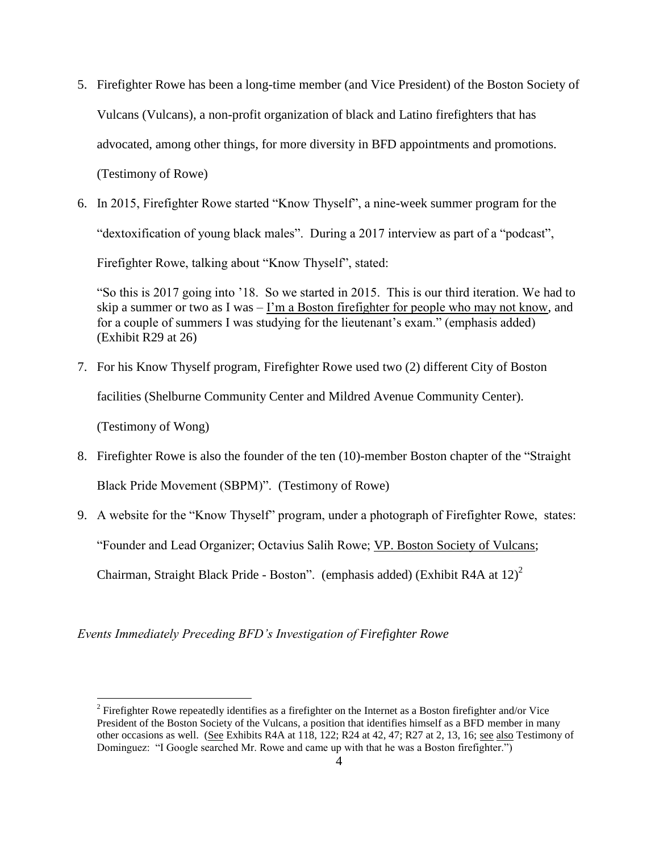- 5. Firefighter Rowe has been a long-time member (and Vice President) of the Boston Society of Vulcans (Vulcans), a non-profit organization of black and Latino firefighters that has advocated, among other things, for more diversity in BFD appointments and promotions. (Testimony of Rowe)
- 6. In 2015, Firefighter Rowe started "Know Thyself", a nine-week summer program for the "dextoxification of young black males". During a 2017 interview as part of a "podcast", Firefighter Rowe, talking about "Know Thyself", stated:

"So this is 2017 going into '18. So we started in 2015. This is our third iteration. We had to skip a summer or two as I was – I'm a Boston firefighter for people who may not know, and for a couple of summers I was studying for the lieutenant's exam." (emphasis added) (Exhibit R29 at 26)

- 7. For his Know Thyself program, Firefighter Rowe used two (2) different City of Boston facilities (Shelburne Community Center and Mildred Avenue Community Center). (Testimony of Wong)
- 8. Firefighter Rowe is also the founder of the ten (10)-member Boston chapter of the "Straight Black Pride Movement (SBPM)". (Testimony of Rowe)
- 9. A website for the "Know Thyself" program, under a photograph of Firefighter Rowe, states: "Founder and Lead Organizer; Octavius Salih Rowe; VP. Boston Society of Vulcans; Chairman, Straight Black Pride - Boston". (emphasis added) (Exhibit R4A at 12)<sup>2</sup>

*Events Immediately Preceding BFD's Investigation of Firefighter Rowe*

 $\overline{a}$ 

<sup>&</sup>lt;sup>2</sup> Firefighter Rowe repeatedly identifies as a firefighter on the Internet as a Boston firefighter and/or Vice President of the Boston Society of the Vulcans, a position that identifies himself as a BFD member in many other occasions as well. (See Exhibits R4A at 118, 122; R24 at 42, 47; R27 at 2, 13, 16; see also Testimony of Dominguez: "I Google searched Mr. Rowe and came up with that he was a Boston firefighter.")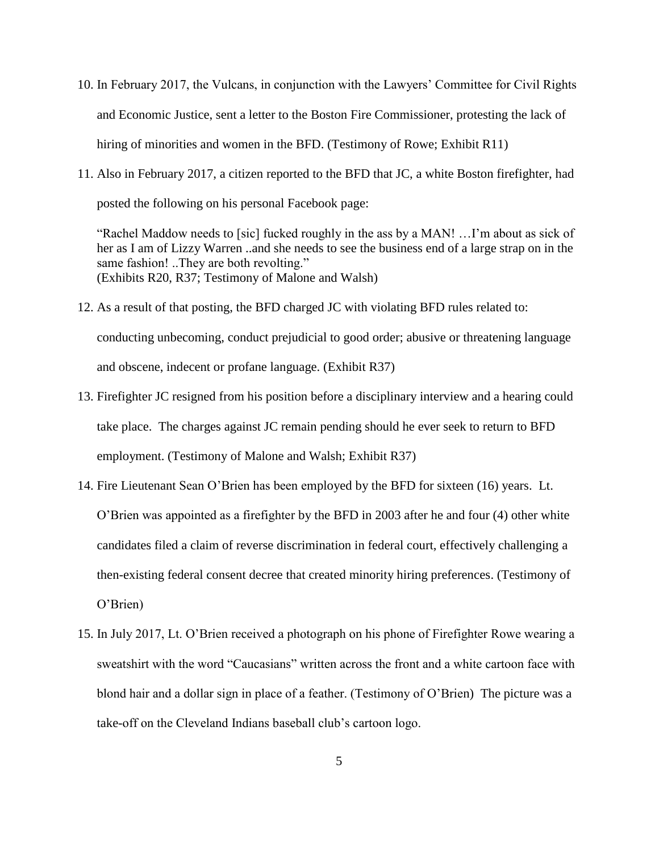- 10. In February 2017, the Vulcans, in conjunction with the Lawyers' Committee for Civil Rights and Economic Justice, sent a letter to the Boston Fire Commissioner, protesting the lack of hiring of minorities and women in the BFD. (Testimony of Rowe; Exhibit R11)
- 11. Also in February 2017, a citizen reported to the BFD that JC, a white Boston firefighter, had posted the following on his personal Facebook page:

"Rachel Maddow needs to [sic] fucked roughly in the ass by a MAN! …I'm about as sick of her as I am of Lizzy Warren ..and she needs to see the business end of a large strap on in the same fashion! ..They are both revolting." (Exhibits R20, R37; Testimony of Malone and Walsh)

- 12. As a result of that posting, the BFD charged JC with violating BFD rules related to: conducting unbecoming, conduct prejudicial to good order; abusive or threatening language and obscene, indecent or profane language. (Exhibit R37)
- 13. Firefighter JC resigned from his position before a disciplinary interview and a hearing could take place. The charges against JC remain pending should he ever seek to return to BFD employment. (Testimony of Malone and Walsh; Exhibit R37)
- 14. Fire Lieutenant Sean O'Brien has been employed by the BFD for sixteen (16) years. Lt. O'Brien was appointed as a firefighter by the BFD in 2003 after he and four (4) other white candidates filed a claim of reverse discrimination in federal court, effectively challenging a then-existing federal consent decree that created minority hiring preferences. (Testimony of O'Brien)
- 15. In July 2017, Lt. O'Brien received a photograph on his phone of Firefighter Rowe wearing a sweatshirt with the word "Caucasians" written across the front and a white cartoon face with blond hair and a dollar sign in place of a feather. (Testimony of O'Brien) The picture was a take-off on the Cleveland Indians baseball club's cartoon logo.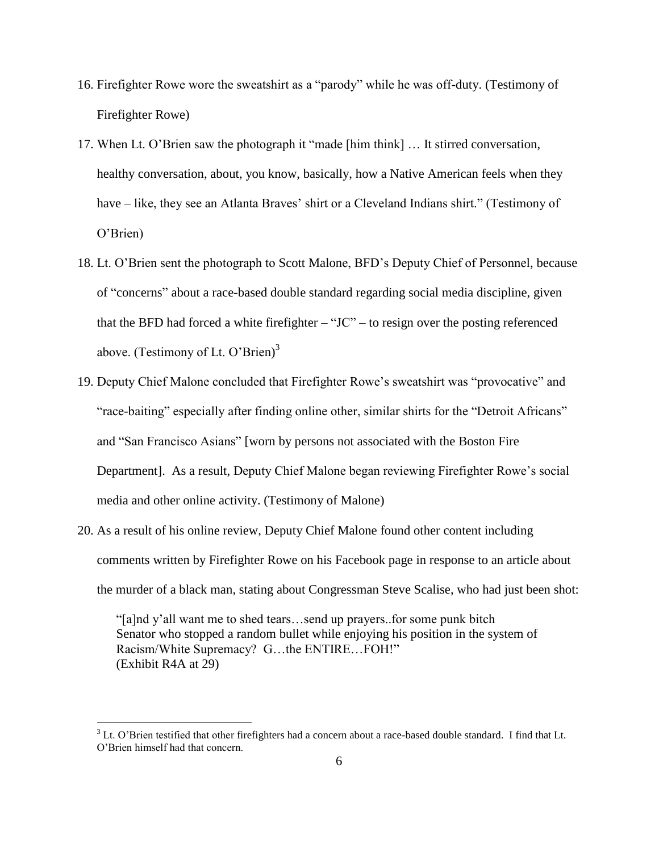- 16. Firefighter Rowe wore the sweatshirt as a "parody" while he was off-duty. (Testimony of Firefighter Rowe)
- 17. When Lt. O'Brien saw the photograph it "made [him think] … It stirred conversation, healthy conversation, about, you know, basically, how a Native American feels when they have – like, they see an Atlanta Braves' shirt or a Cleveland Indians shirt." (Testimony of O'Brien)
- 18. Lt. O'Brien sent the photograph to Scott Malone, BFD's Deputy Chief of Personnel, because of "concerns" about a race-based double standard regarding social media discipline, given that the BFD had forced a white firefighter  $-$  "JC" – to resign over the posting referenced above. (Testimony of Lt. O'Brien) $3$
- 19. Deputy Chief Malone concluded that Firefighter Rowe's sweatshirt was "provocative" and "race-baiting" especially after finding online other, similar shirts for the "Detroit Africans" and "San Francisco Asians" [worn by persons not associated with the Boston Fire Department]. As a result, Deputy Chief Malone began reviewing Firefighter Rowe's social media and other online activity. (Testimony of Malone)
- 20. As a result of his online review, Deputy Chief Malone found other content including comments written by Firefighter Rowe on his Facebook page in response to an article about the murder of a black man, stating about Congressman Steve Scalise, who had just been shot:

"[a]nd y'all want me to shed tears…send up prayers..for some punk bitch Senator who stopped a random bullet while enjoying his position in the system of Racism/White Supremacy? G…the ENTIRE…FOH!" (Exhibit R4A at 29)

 $\overline{a}$ 

 $3$  Lt. O'Brien testified that other firefighters had a concern about a race-based double standard. I find that Lt. O'Brien himself had that concern.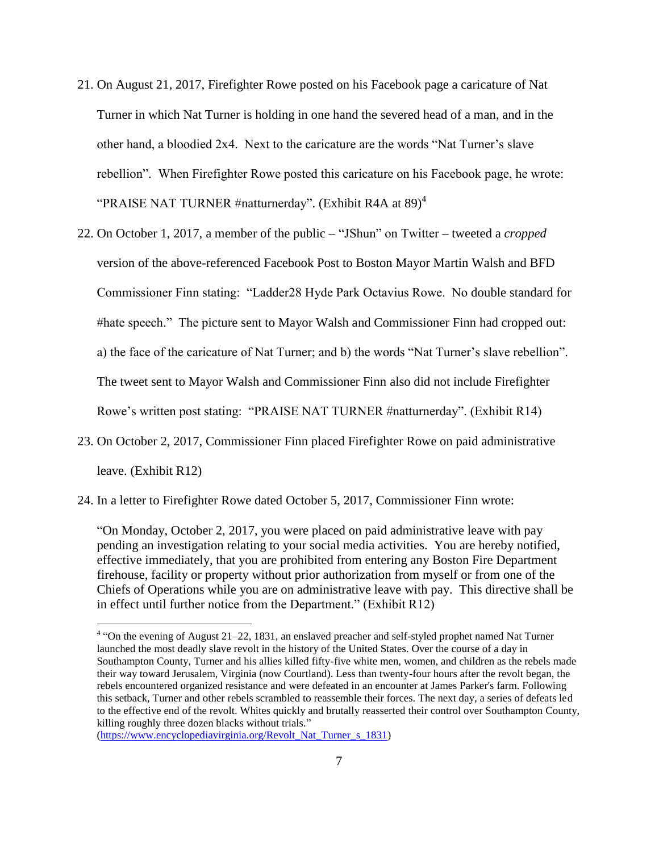- 21. On August 21, 2017, Firefighter Rowe posted on his Facebook page a caricature of Nat Turner in which Nat Turner is holding in one hand the severed head of a man, and in the other hand, a bloodied 2x4. Next to the caricature are the words "Nat Turner's slave rebellion". When Firefighter Rowe posted this caricature on his Facebook page, he wrote: "PRAISE NAT TURNER #natturnerday". (Exhibit R4A at  $89)^4$
- 22. On October 1, 2017, a member of the public "JShun" on Twitter tweeted a *cropped* version of the above-referenced Facebook Post to Boston Mayor Martin Walsh and BFD Commissioner Finn stating: "Ladder28 Hyde Park Octavius Rowe. No double standard for #hate speech." The picture sent to Mayor Walsh and Commissioner Finn had cropped out: a) the face of the caricature of Nat Turner; and b) the words "Nat Turner's slave rebellion". The tweet sent to Mayor Walsh and Commissioner Finn also did not include Firefighter Rowe's written post stating: "PRAISE NAT TURNER #natturnerday". (Exhibit R14)
- 23. On October 2, 2017, Commissioner Finn placed Firefighter Rowe on paid administrative leave. (Exhibit R12)

24. In a letter to Firefighter Rowe dated October 5, 2017, Commissioner Finn wrote:

"On Monday, October 2, 2017, you were placed on paid administrative leave with pay pending an investigation relating to your social media activities. You are hereby notified, effective immediately, that you are prohibited from entering any Boston Fire Department firehouse, facility or property without prior authorization from myself or from one of the Chiefs of Operations while you are on administrative leave with pay. This directive shall be in effect until further notice from the Department." (Exhibit R12)

[\(https://www.encyclopediavirginia.org/Revolt\\_Nat\\_Turner\\_s\\_1831\)](https://www.encyclopediavirginia.org/Revolt_Nat_Turner_s_1831)

 $\overline{a}$ 

<sup>&</sup>lt;sup>4</sup> "On the evening of August 21–22, 1831, an enslaved preacher and self-styled prophet named Nat Turner launched the most deadly slave revolt in the history of the United States. Over the course of a day in Southampton County, Turner and his allies killed fifty-five white men, women, and children as the rebels made their way toward Jerusalem, Virginia (now Courtland). Less than twenty-four hours after the revolt began, the rebels encountered organized resistance and were defeated in an encounter at James Parker's farm. Following this setback, Turner and other rebels scrambled to reassemble their forces. The next day, a series of defeats led to the effective end of the revolt. Whites quickly and brutally reasserted their control over Southampton County, killing roughly three dozen blacks without trials."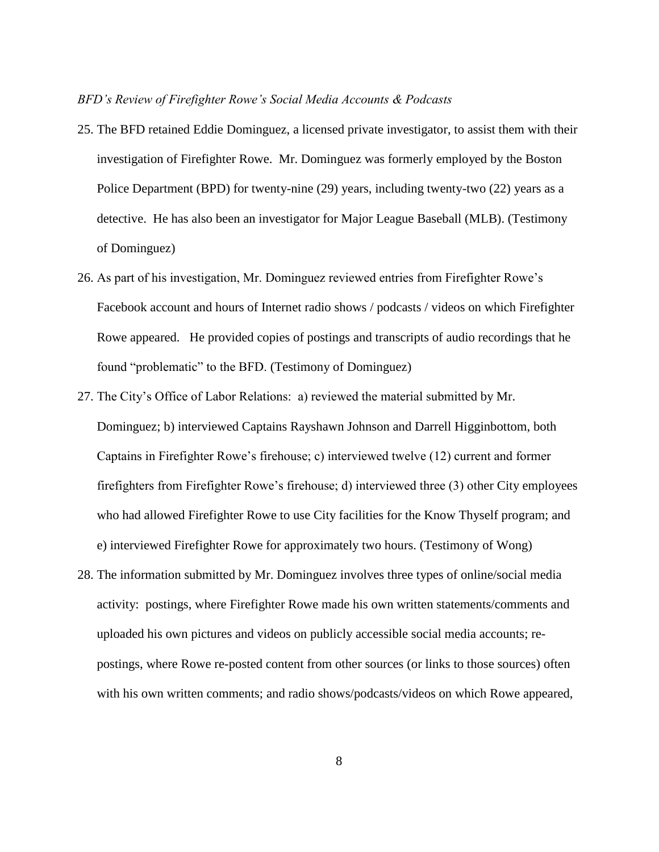#### *BFD's Review of Firefighter Rowe's Social Media Accounts & Podcasts*

- 25. The BFD retained Eddie Dominguez, a licensed private investigator, to assist them with their investigation of Firefighter Rowe. Mr. Dominguez was formerly employed by the Boston Police Department (BPD) for twenty-nine (29) years, including twenty-two (22) years as a detective. He has also been an investigator for Major League Baseball (MLB). (Testimony of Dominguez)
- 26. As part of his investigation, Mr. Dominguez reviewed entries from Firefighter Rowe's Facebook account and hours of Internet radio shows / podcasts / videos on which Firefighter Rowe appeared. He provided copies of postings and transcripts of audio recordings that he found "problematic" to the BFD. (Testimony of Dominguez)
- 27. The City's Office of Labor Relations: a) reviewed the material submitted by Mr. Dominguez; b) interviewed Captains Rayshawn Johnson and Darrell Higginbottom, both Captains in Firefighter Rowe's firehouse; c) interviewed twelve (12) current and former firefighters from Firefighter Rowe's firehouse; d) interviewed three (3) other City employees who had allowed Firefighter Rowe to use City facilities for the Know Thyself program; and e) interviewed Firefighter Rowe for approximately two hours. (Testimony of Wong)
- 28. The information submitted by Mr. Dominguez involves three types of online/social media activity: postings, where Firefighter Rowe made his own written statements/comments and uploaded his own pictures and videos on publicly accessible social media accounts; repostings, where Rowe re-posted content from other sources (or links to those sources) often with his own written comments; and radio shows/podcasts/videos on which Rowe appeared,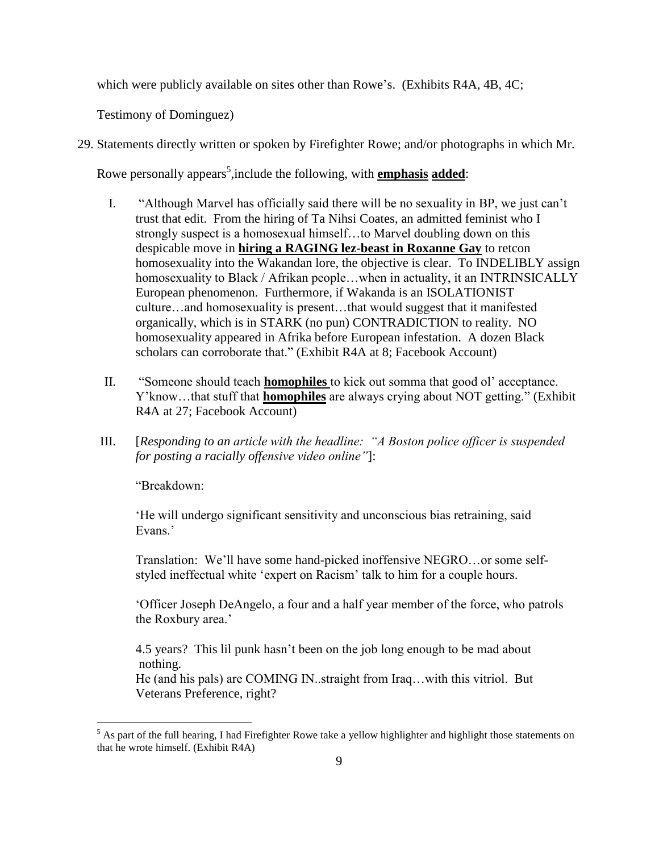which were publicly available on sites other than Rowe's. (Exhibits R4A, 4B, 4C;

Testimony of Dominguez)

29. Statements directly written or spoken by Firefighter Rowe; and/or photographs in which Mr.

Rowe personally appears<sup>5</sup>, include the following, with **emphasis added**:

- I. "Although Marvel has officially said there will be no sexuality in BP, we just can't trust that edit. From the hiring of Ta Nihsi Coates, an admitted feminist who I strongly suspect is a homosexual himself…to Marvel doubling down on this despicable move in **hiring a RAGING lez-beast in Roxanne Gay** to retcon homosexuality into the Wakandan lore, the objective is clear. To INDELIBLY assign homosexuality to Black / Afrikan people...when in actuality, it an INTRINSICALLY European phenomenon. Furthermore, if Wakanda is an ISOLATIONIST culture…and homosexuality is present…that would suggest that it manifested organically, which is in STARK (no pun) CONTRADICTION to reality. NO homosexuality appeared in Afrika before European infestation. A dozen Black scholars can corroborate that." (Exhibit R4A at 8; Facebook Account)
- II. "Someone should teach **homophiles** to kick out somma that good ol' acceptance. Y'know…that stuff that **homophiles** are always crying about NOT getting." (Exhibit R4A at 27; Facebook Account)
- III. [*Responding to an article with the headline: "A Boston police officer is suspended for posting a racially offensive video online"*]:

"Breakdown:

 $\overline{a}$ 

'He will undergo significant sensitivity and unconscious bias retraining, said Evans<sup>'</sup>

Translation: We'll have some hand-picked inoffensive NEGRO…or some selfstyled ineffectual white 'expert on Racism' talk to him for a couple hours.

'Officer Joseph DeAngelo, a four and a half year member of the force, who patrols the Roxbury area.'

4.5 years? This lil punk hasn't been on the job long enough to be mad about nothing.

He (and his pals) are COMING IN..straight from Iraq…with this vitriol. But Veterans Preference, right?

 $<sup>5</sup>$  As part of the full hearing, I had Firefighter Rowe take a yellow highlighter and highlight those statements on</sup> that he wrote himself. (Exhibit R4A)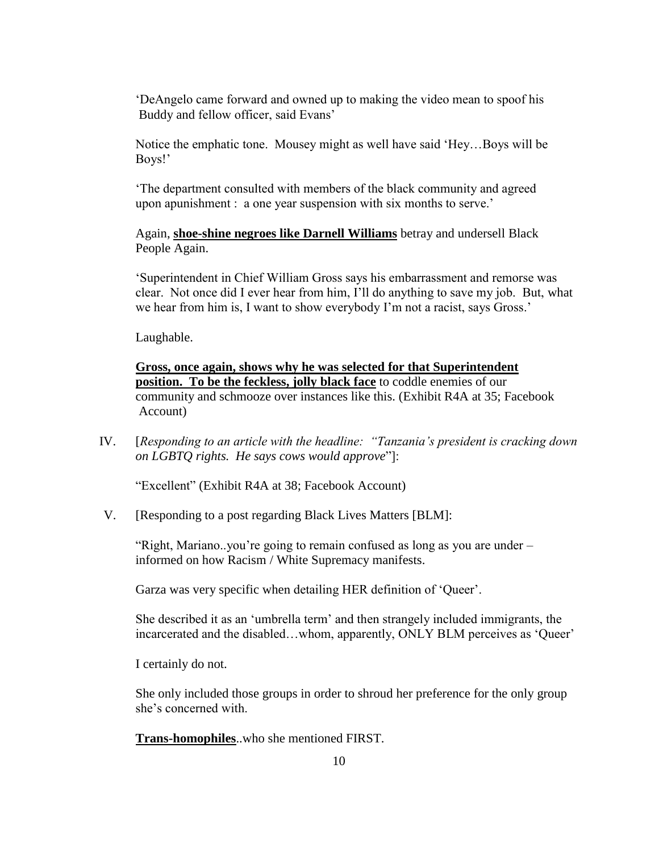'DeAngelo came forward and owned up to making the video mean to spoof his Buddy and fellow officer, said Evans'

Notice the emphatic tone. Mousey might as well have said 'Hey…Boys will be Boys!'

'The department consulted with members of the black community and agreed upon apunishment : a one year suspension with six months to serve.'

Again, **shoe-shine negroes like Darnell Williams** betray and undersell Black People Again.

'Superintendent in Chief William Gross says his embarrassment and remorse was clear. Not once did I ever hear from him, I'll do anything to save my job. But, what we hear from him is, I want to show everybody I'm not a racist, says Gross.'

Laughable.

**Gross, once again, shows why he was selected for that Superintendent position. To be the feckless, jolly black face** to coddle enemies of our community and schmooze over instances like this. (Exhibit R4A at 35; Facebook Account)

IV. [*Responding to an article with the headline: "Tanzania's president is cracking down on LGBTQ rights. He says cows would approve*"]:

"Excellent" (Exhibit R4A at 38; Facebook Account)

V. [Responding to a post regarding Black Lives Matters [BLM]:

"Right, Mariano..you're going to remain confused as long as you are under – informed on how Racism / White Supremacy manifests.

Garza was very specific when detailing HER definition of 'Queer'.

She described it as an 'umbrella term' and then strangely included immigrants, the incarcerated and the disabled…whom, apparently, ONLY BLM perceives as 'Queer'

I certainly do not.

She only included those groups in order to shroud her preference for the only group she's concerned with.

**Trans-homophiles**..who she mentioned FIRST.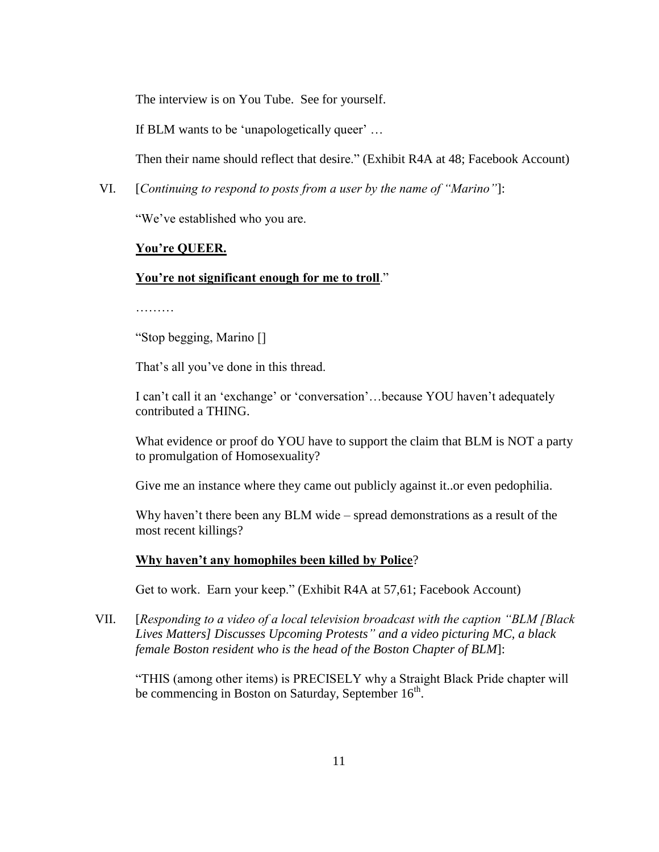The interview is on You Tube. See for yourself.

If BLM wants to be 'unapologetically queer' …

Then their name should reflect that desire." (Exhibit R4A at 48; Facebook Account)

VI. [*Continuing to respond to posts from a user by the name of "Marino"*]:

"We've established who you are.

# **You're QUEER.**

## **You're not significant enough for me to troll**."

………

"Stop begging, Marino []

That's all you've done in this thread.

I can't call it an 'exchange' or 'conversation'…because YOU haven't adequately contributed a THING.

What evidence or proof do YOU have to support the claim that BLM is NOT a party to promulgation of Homosexuality?

Give me an instance where they came out publicly against it..or even pedophilia.

Why haven't there been any BLM wide – spread demonstrations as a result of the most recent killings?

## **Why haven't any homophiles been killed by Police**?

Get to work. Earn your keep." (Exhibit R4A at 57,61; Facebook Account)

VII. [*Responding to a video of a local television broadcast with the caption "BLM [Black Lives Matters] Discusses Upcoming Protests" and a video picturing MC, a black female Boston resident who is the head of the Boston Chapter of BLM*]:

"THIS (among other items) is PRECISELY why a Straight Black Pride chapter will be commencing in Boston on Saturday, September  $16<sup>th</sup>$ .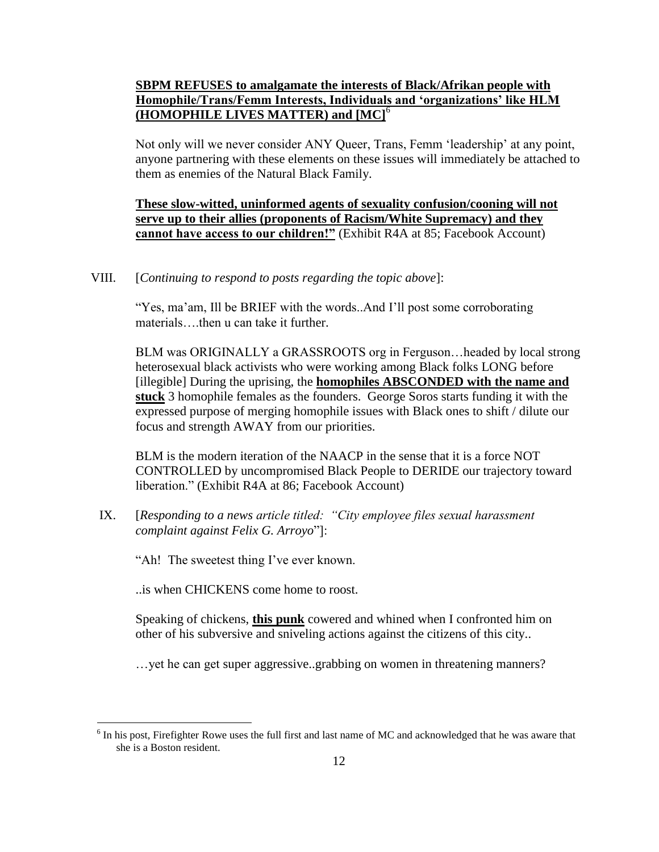# **SBPM REFUSES to amalgamate the interests of Black/Afrikan people with Homophile/Trans/Femm Interests, Individuals and 'organizations' like HLM (HOMOPHILE LIVES MATTER) and [MC]**<sup>6</sup>

Not only will we never consider ANY Queer, Trans, Femm 'leadership' at any point, anyone partnering with these elements on these issues will immediately be attached to them as enemies of the Natural Black Family.

**These slow-witted, uninformed agents of sexuality confusion/cooning will not serve up to their allies (proponents of Racism/White Supremacy) and they cannot have access to our children!"** (Exhibit R4A at 85; Facebook Account)

VIII. [*Continuing to respond to posts regarding the topic above*]:

"Yes, ma'am, Ill be BRIEF with the words..And I'll post some corroborating materials then u can take it further.

BLM was ORIGINALLY a GRASSROOTS org in Ferguson…headed by local strong heterosexual black activists who were working among Black folks LONG before [illegible] During the uprising, the **homophiles ABSCONDED with the name and stuck** 3 homophile females as the founders. George Soros starts funding it with the expressed purpose of merging homophile issues with Black ones to shift / dilute our focus and strength AWAY from our priorities.

BLM is the modern iteration of the NAACP in the sense that it is a force NOT CONTROLLED by uncompromised Black People to DERIDE our trajectory toward liberation." (Exhibit R4A at 86; Facebook Account)

IX. [*Responding to a news article titled: "City employee files sexual harassment complaint against Felix G. Arroyo*"]:

"Ah! The sweetest thing I've ever known.

..is when CHICKENS come home to roost.

 $\overline{a}$ 

Speaking of chickens, **this punk** cowered and whined when I confronted him on other of his subversive and sniveling actions against the citizens of this city..

…yet he can get super aggressive..grabbing on women in threatening manners?

 $6$  In his post, Firefighter Rowe uses the full first and last name of MC and acknowledged that he was aware that she is a Boston resident.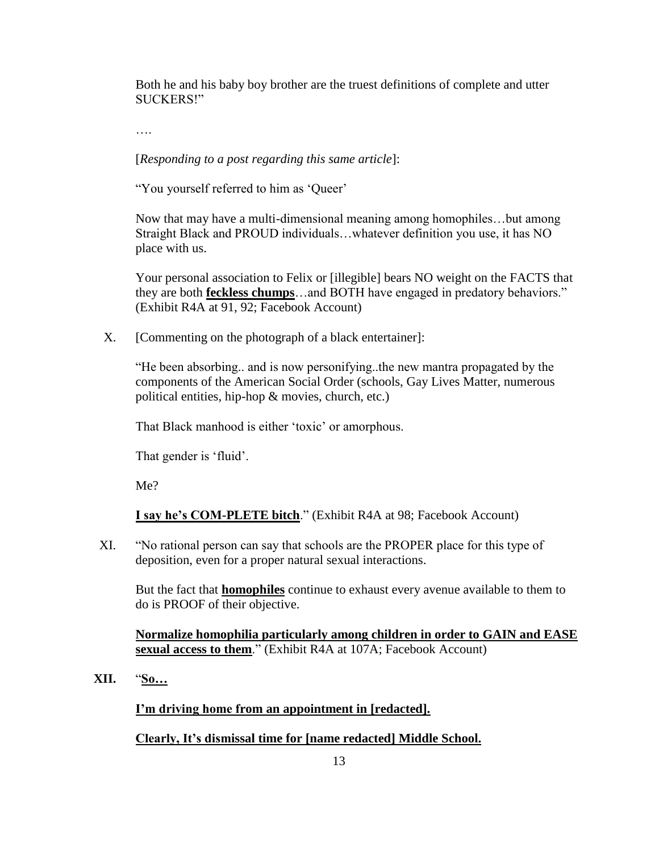Both he and his baby boy brother are the truest definitions of complete and utter SUCKERS!"

….

[*Responding to a post regarding this same article*]:

"You yourself referred to him as 'Queer'

Now that may have a multi-dimensional meaning among homophiles…but among Straight Black and PROUD individuals…whatever definition you use, it has NO place with us.

Your personal association to Felix or [illegible] bears NO weight on the FACTS that they are both **feckless chumps**…and BOTH have engaged in predatory behaviors." (Exhibit R4A at 91, 92; Facebook Account)

X. [Commenting on the photograph of a black entertainer]:

"He been absorbing.. and is now personifying..the new mantra propagated by the components of the American Social Order (schools, Gay Lives Matter, numerous political entities, hip-hop & movies, church, etc.)

That Black manhood is either 'toxic' or amorphous.

That gender is 'fluid'.

Me?

**I say he's COM-PLETE bitch**." (Exhibit R4A at 98; Facebook Account)

XI. "No rational person can say that schools are the PROPER place for this type of deposition, even for a proper natural sexual interactions.

But the fact that **homophiles** continue to exhaust every avenue available to them to do is PROOF of their objective.

**Normalize homophilia particularly among children in order to GAIN and EASE sexual access to them**." (Exhibit R4A at 107A; Facebook Account)

**XII.** "**So…**

**I'm driving home from an appointment in [redacted].**

**Clearly, It's dismissal time for [name redacted] Middle School.**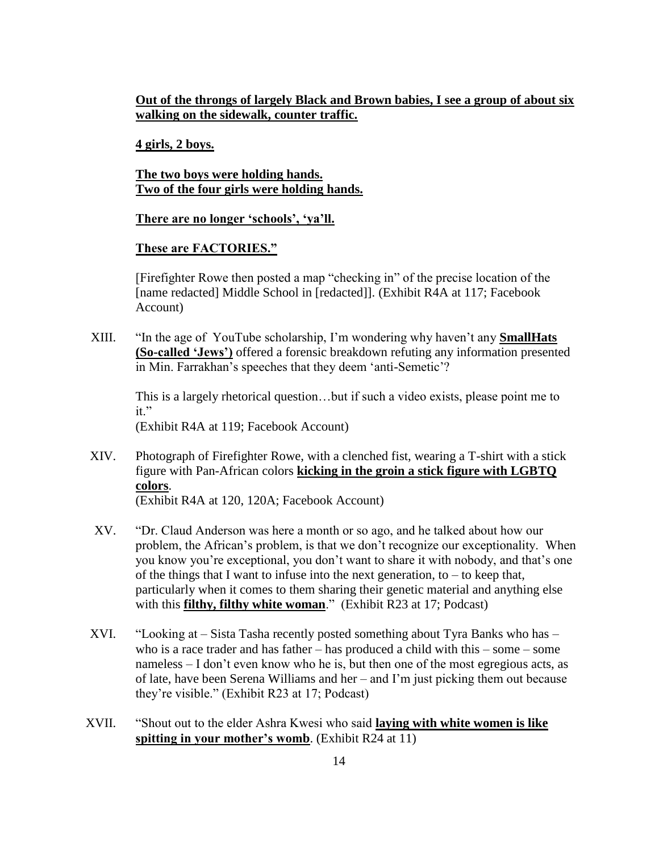**Out of the throngs of largely Black and Brown babies, I see a group of about six walking on the sidewalk, counter traffic.**

**4 girls, 2 boys.**

**The two boys were holding hands. Two of the four girls were holding hands.**

**There are no longer 'schools', 'ya'll.**

# **These are FACTORIES."**

[Firefighter Rowe then posted a map "checking in" of the precise location of the [name redacted] Middle School in [redacted]]. (Exhibit R4A at 117; Facebook Account)

XIII. "In the age of YouTube scholarship, I'm wondering why haven't any **SmallHats (So-called 'Jews')** offered a forensic breakdown refuting any information presented in Min. Farrakhan's speeches that they deem 'anti-Semetic'?

This is a largely rhetorical question…but if such a video exists, please point me to  $it"$ 

(Exhibit R4A at 119; Facebook Account)

XIV. Photograph of Firefighter Rowe, with a clenched fist, wearing a T-shirt with a stick figure with Pan-African colors **kicking in the groin a stick figure with LGBTQ colors**.

(Exhibit R4A at 120, 120A; Facebook Account)

- XV. "Dr. Claud Anderson was here a month or so ago, and he talked about how our problem, the African's problem, is that we don't recognize our exceptionality. When you know you're exceptional, you don't want to share it with nobody, and that's one of the things that I want to infuse into the next generation, to – to keep that, particularly when it comes to them sharing their genetic material and anything else with this **filthy, filthy white woman**." (Exhibit R23 at 17; Podcast)
- XVI. "Looking at Sista Tasha recently posted something about Tyra Banks who has who is a race trader and has father – has produced a child with this – some – some nameless – I don't even know who he is, but then one of the most egregious acts, as of late, have been Serena Williams and her – and I'm just picking them out because they're visible." (Exhibit R23 at 17; Podcast)
- XVII. "Shout out to the elder Ashra Kwesi who said **laying with white women is like spitting in your mother's womb**. (Exhibit R24 at 11)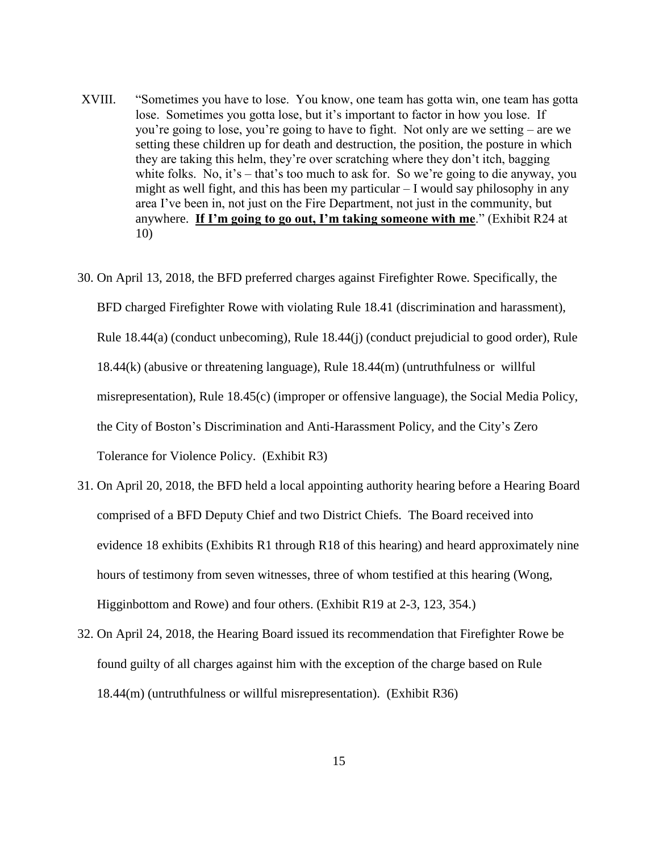- XVIII. "Sometimes you have to lose. You know, one team has gotta win, one team has gotta lose. Sometimes you gotta lose, but it's important to factor in how you lose. If you're going to lose, you're going to have to fight. Not only are we setting – are we setting these children up for death and destruction, the position, the posture in which they are taking this helm, they're over scratching where they don't itch, bagging white folks. No, it's – that's too much to ask for. So we're going to die anyway, you might as well fight, and this has been my particular – I would say philosophy in any area I've been in, not just on the Fire Department, not just in the community, but anywhere. **If I'm going to go out, I'm taking someone with me**." (Exhibit R24 at 10)
- 30. On April 13, 2018, the BFD preferred charges against Firefighter Rowe. Specifically, the BFD charged Firefighter Rowe with violating Rule 18.41 (discrimination and harassment), Rule 18.44(a) (conduct unbecoming), Rule 18.44(j) (conduct prejudicial to good order), Rule 18.44(k) (abusive or threatening language), Rule 18.44(m) (untruthfulness or willful misrepresentation), Rule 18.45(c) (improper or offensive language), the Social Media Policy, the City of Boston's Discrimination and Anti-Harassment Policy, and the City's Zero Tolerance for Violence Policy. (Exhibit R3)
- 31. On April 20, 2018, the BFD held a local appointing authority hearing before a Hearing Board comprised of a BFD Deputy Chief and two District Chiefs. The Board received into evidence 18 exhibits (Exhibits R1 through R18 of this hearing) and heard approximately nine hours of testimony from seven witnesses, three of whom testified at this hearing (Wong, Higginbottom and Rowe) and four others. (Exhibit R19 at 2-3, 123, 354.)
- 32. On April 24, 2018, the Hearing Board issued its recommendation that Firefighter Rowe be found guilty of all charges against him with the exception of the charge based on Rule 18.44(m) (untruthfulness or willful misrepresentation). (Exhibit R36)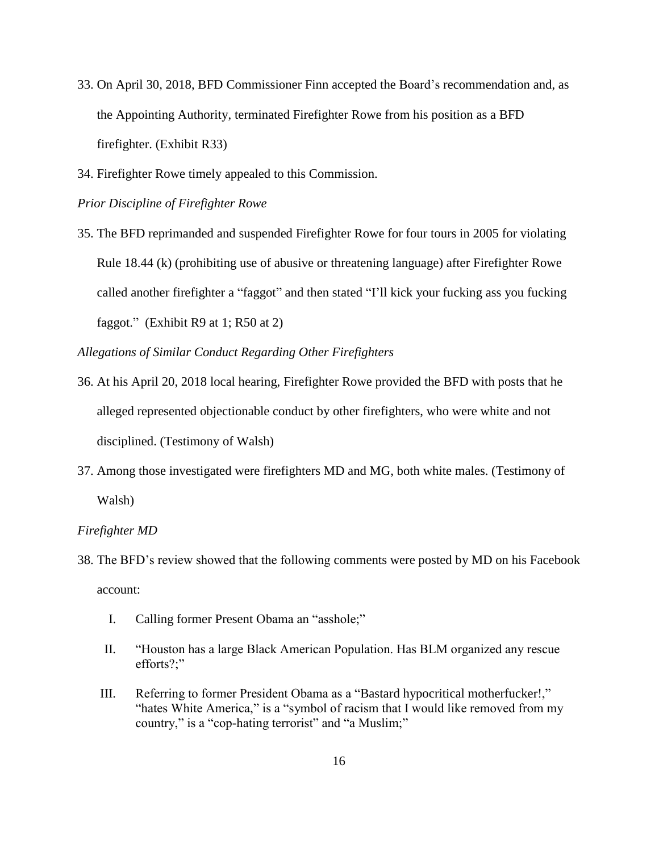- 33. On April 30, 2018, BFD Commissioner Finn accepted the Board's recommendation and, as the Appointing Authority, terminated Firefighter Rowe from his position as a BFD firefighter. (Exhibit R33)
- 34. Firefighter Rowe timely appealed to this Commission.

*Prior Discipline of Firefighter Rowe*

35. The BFD reprimanded and suspended Firefighter Rowe for four tours in 2005 for violating Rule 18.44 (k) (prohibiting use of abusive or threatening language) after Firefighter Rowe called another firefighter a "faggot" and then stated "I'll kick your fucking ass you fucking faggot." (Exhibit R9 at 1; R50 at 2)

*Allegations of Similar Conduct Regarding Other Firefighters*

- 36. At his April 20, 2018 local hearing, Firefighter Rowe provided the BFD with posts that he alleged represented objectionable conduct by other firefighters, who were white and not disciplined. (Testimony of Walsh)
- 37. Among those investigated were firefighters MD and MG, both white males. (Testimony of Walsh)

#### *Firefighter MD*

- 38. The BFD's review showed that the following comments were posted by MD on his Facebook account:
	- I. Calling former Present Obama an "asshole;"
	- II. "Houston has a large Black American Population. Has BLM organized any rescue efforts?;"
	- III. Referring to former President Obama as a "Bastard hypocritical motherfucker!," "hates White America," is a "symbol of racism that I would like removed from my country," is a "cop-hating terrorist" and "a Muslim;"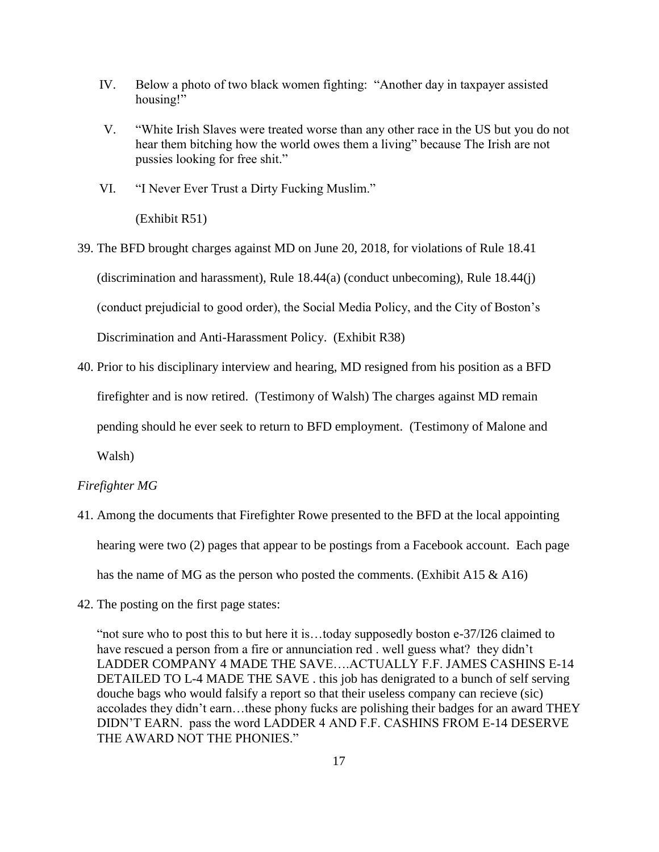- IV. Below a photo of two black women fighting: "Another day in taxpayer assisted housing!"
- V. "White Irish Slaves were treated worse than any other race in the US but you do not hear them bitching how the world owes them a living" because The Irish are not pussies looking for free shit."
- VI. "I Never Ever Trust a Dirty Fucking Muslim."

(Exhibit R51)

- 39. The BFD brought charges against MD on June 20, 2018, for violations of Rule 18.41 (discrimination and harassment), Rule 18.44(a) (conduct unbecoming), Rule 18.44(j) (conduct prejudicial to good order), the Social Media Policy, and the City of Boston's Discrimination and Anti-Harassment Policy. (Exhibit R38)
- 40. Prior to his disciplinary interview and hearing, MD resigned from his position as a BFD

firefighter and is now retired. (Testimony of Walsh) The charges against MD remain

pending should he ever seek to return to BFD employment. (Testimony of Malone and

Walsh)

#### *Firefighter MG*

- 41. Among the documents that Firefighter Rowe presented to the BFD at the local appointing hearing were two (2) pages that appear to be postings from a Facebook account. Each page has the name of MG as the person who posted the comments. (Exhibit A15  $\&$  A16)
- 42. The posting on the first page states:

"not sure who to post this to but here it is…today supposedly boston e-37/I26 claimed to have rescued a person from a fire or annunciation red . well guess what? they didn't LADDER COMPANY 4 MADE THE SAVE….ACTUALLY F.F. JAMES CASHINS E-14 DETAILED TO L-4 MADE THE SAVE . this job has denigrated to a bunch of self serving douche bags who would falsify a report so that their useless company can recieve (sic) accolades they didn't earn…these phony fucks are polishing their badges for an award THEY DIDN'T EARN. pass the word LADDER 4 AND F.F. CASHINS FROM E-14 DESERVE THE AWARD NOT THE PHONIES."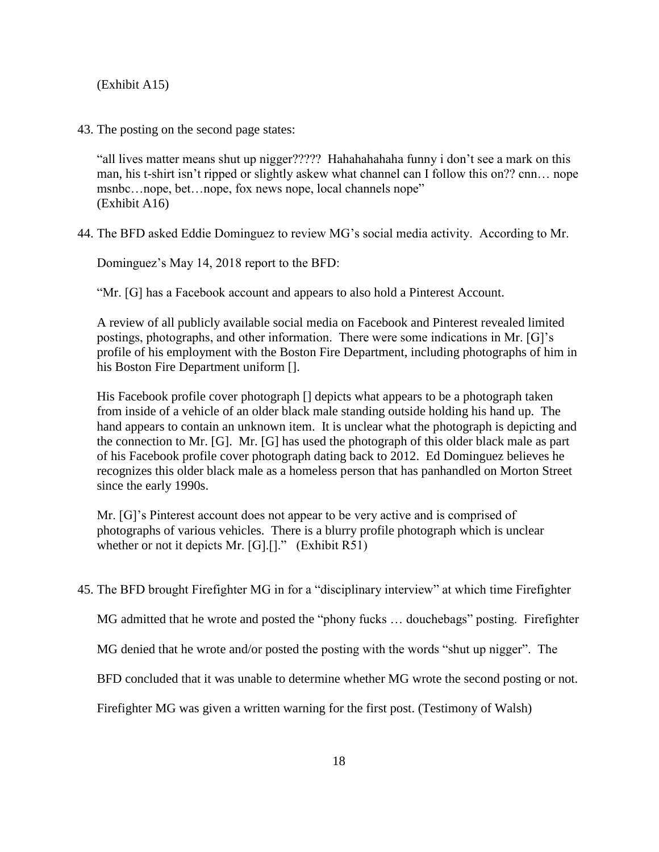(Exhibit A15)

43. The posting on the second page states:

"all lives matter means shut up nigger????? Hahahahahaha funny i don't see a mark on this man, his t-shirt isn't ripped or slightly askew what channel can I follow this on?? cnn… nope msnbc...nope, bet...nope, fox news nope, local channels nope" (Exhibit A16)

44. The BFD asked Eddie Dominguez to review MG's social media activity. According to Mr.

Dominguez's May 14, 2018 report to the BFD:

"Mr. [G] has a Facebook account and appears to also hold a Pinterest Account.

A review of all publicly available social media on Facebook and Pinterest revealed limited postings, photographs, and other information. There were some indications in Mr. [G]'s profile of his employment with the Boston Fire Department, including photographs of him in his Boston Fire Department uniform [].

His Facebook profile cover photograph [] depicts what appears to be a photograph taken from inside of a vehicle of an older black male standing outside holding his hand up. The hand appears to contain an unknown item. It is unclear what the photograph is depicting and the connection to Mr. [G]. Mr. [G] has used the photograph of this older black male as part of his Facebook profile cover photograph dating back to 2012. Ed Dominguez believes he recognizes this older black male as a homeless person that has panhandled on Morton Street since the early 1990s.

Mr. [G]'s Pinterest account does not appear to be very active and is comprised of photographs of various vehicles. There is a blurry profile photograph which is unclear whether or not it depicts Mr.  $[G][.]$ ." (Exhibit R51)

45. The BFD brought Firefighter MG in for a "disciplinary interview" at which time Firefighter

MG admitted that he wrote and posted the "phony fucks … douchebags" posting. Firefighter

MG denied that he wrote and/or posted the posting with the words "shut up nigger". The

BFD concluded that it was unable to determine whether MG wrote the second posting or not.

Firefighter MG was given a written warning for the first post. (Testimony of Walsh)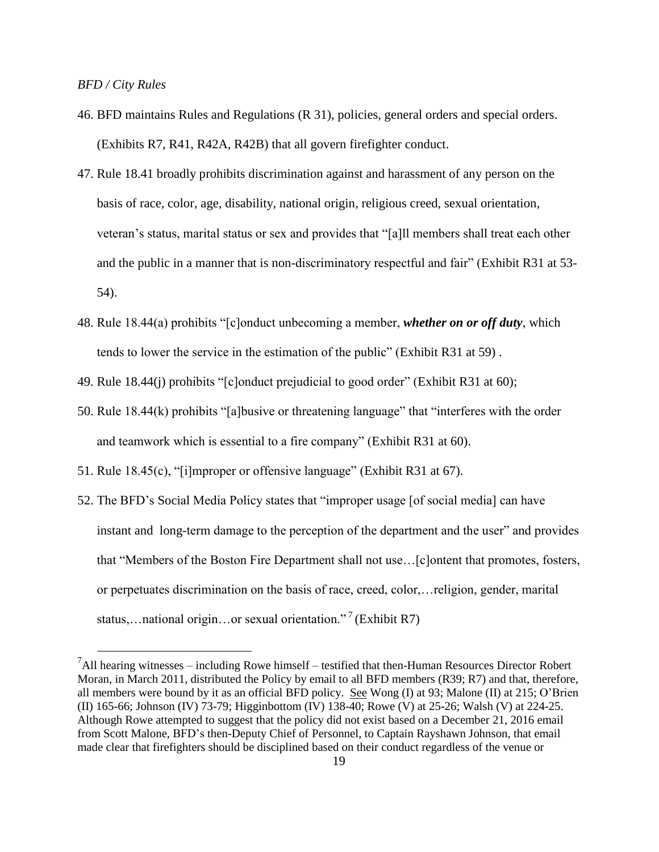*BFD / City Rules* 

 $\overline{a}$ 

- 46. BFD maintains Rules and Regulations (R 31), policies, general orders and special orders. (Exhibits R7, R41, R42A, R42B) that all govern firefighter conduct.
- 47. Rule 18.41 broadly prohibits discrimination against and harassment of any person on the basis of race, color, age, disability, national origin, religious creed, sexual orientation, veteran's status, marital status or sex and provides that "[a]ll members shall treat each other and the public in a manner that is non-discriminatory respectful and fair" (Exhibit R31 at 53- 54).
- 48. Rule 18.44(a) prohibits "[c]onduct unbecoming a member, *whether on or off duty*, which tends to lower the service in the estimation of the public" (Exhibit R31 at 59) .
- 49. Rule 18.44(j) prohibits "[c]onduct prejudicial to good order" (Exhibit R31 at 60);
- 50. Rule 18.44(k) prohibits "[a]busive or threatening language" that "interferes with the order and teamwork which is essential to a fire company" (Exhibit R31 at 60).
- 51. Rule 18.45(c), "[i]mproper or offensive language" (Exhibit R31 at 67).
- 52. The BFD's Social Media Policy states that "improper usage [of social media] can have instant and long-term damage to the perception of the department and the user" and provides that "Members of the Boston Fire Department shall not use…[c]ontent that promotes, fosters, or perpetuates discrimination on the basis of race, creed, color,…religion, gender, marital status,... national origin...or sexual orientation."<sup>7</sup> (Exhibit R7)

 $<sup>7</sup>$ All hearing witnesses – including Rowe himself – testified that then-Human Resources Director Robert</sup> Moran, in March 2011, distributed the Policy by email to all BFD members (R39; R7) and that, therefore, all members were bound by it as an official BFD policy. See Wong (I) at 93; Malone (II) at 215; O'Brien (II) 165-66; Johnson (IV) 73-79; Higginbottom (IV) 138-40; Rowe (V) at 25-26; Walsh (V) at 224-25. Although Rowe attempted to suggest that the policy did not exist based on a December 21, 2016 email from Scott Malone, BFD's then-Deputy Chief of Personnel, to Captain Rayshawn Johnson, that email made clear that firefighters should be disciplined based on their conduct regardless of the venue or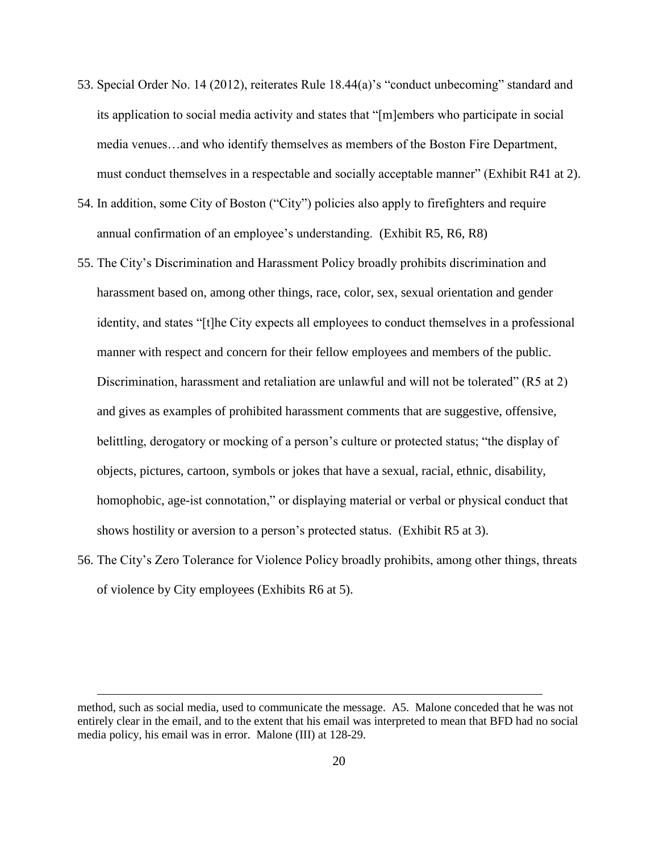- 53. Special Order No. 14 (2012), reiterates Rule 18.44(a)'s "conduct unbecoming" standard and its application to social media activity and states that "[m]embers who participate in social media venues…and who identify themselves as members of the Boston Fire Department, must conduct themselves in a respectable and socially acceptable manner" (Exhibit R41 at 2).
- 54. In addition, some City of Boston ("City") policies also apply to firefighters and require annual confirmation of an employee's understanding. (Exhibit R5, R6, R8)
- 55. The City's Discrimination and Harassment Policy broadly prohibits discrimination and harassment based on, among other things, race, color, sex, sexual orientation and gender identity, and states "[t]he City expects all employees to conduct themselves in a professional manner with respect and concern for their fellow employees and members of the public. Discrimination, harassment and retaliation are unlawful and will not be tolerated" (R5 at 2) and gives as examples of prohibited harassment comments that are suggestive, offensive, belittling, derogatory or mocking of a person's culture or protected status; "the display of objects, pictures, cartoon, symbols or jokes that have a sexual, racial, ethnic, disability, homophobic, age-ist connotation," or displaying material or verbal or physical conduct that shows hostility or aversion to a person's protected status. (Exhibit R5 at 3).
- 56. The City's Zero Tolerance for Violence Policy broadly prohibits, among other things, threats of violence by City employees (Exhibits R6 at 5).

 $\overline{a}$ 

method, such as social media, used to communicate the message. A5. Malone conceded that he was not entirely clear in the email, and to the extent that his email was interpreted to mean that BFD had no social media policy, his email was in error. Malone (III) at 128-29.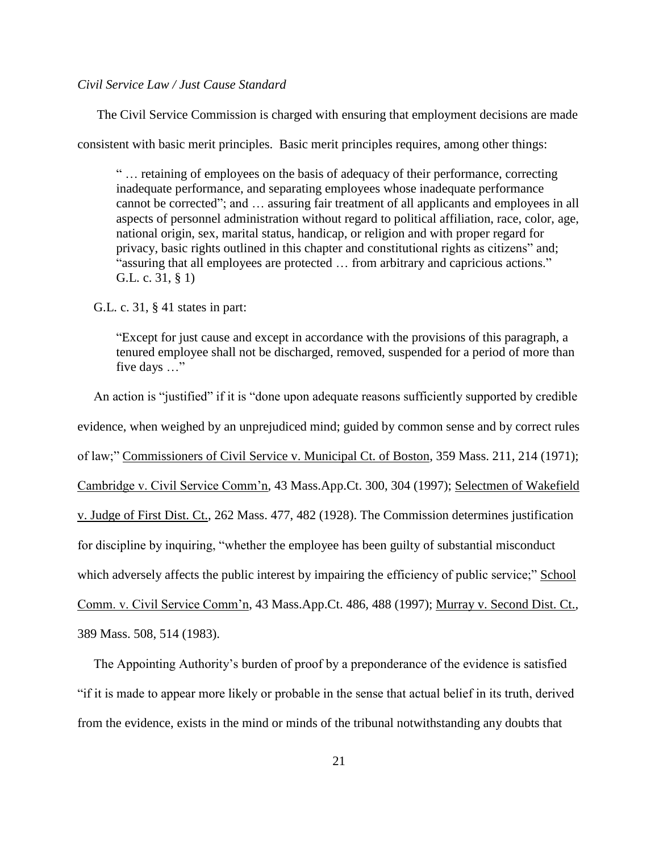# *Civil Service Law / Just Cause Standard*

The Civil Service Commission is charged with ensuring that employment decisions are made

consistent with basic merit principles. Basic merit principles requires, among other things:

" … retaining of employees on the basis of adequacy of their performance, correcting inadequate performance, and separating employees whose inadequate performance cannot be corrected"; and … assuring fair treatment of all applicants and employees in all aspects of personnel administration without regard to political affiliation, race, color, age, national origin, sex, marital status, handicap, or religion and with proper regard for privacy, basic rights outlined in this chapter and constitutional rights as citizens" and; "assuring that all employees are protected … from arbitrary and capricious actions." G.L. c. 31, § 1)

G.L. c. 31, § 41 states in part:

"Except for just cause and except in accordance with the provisions of this paragraph, a tenured employee shall not be discharged, removed, suspended for a period of more than five days …"

 An action is "justified" if it is "done upon adequate reasons sufficiently supported by credible evidence, when weighed by an unprejudiced mind; guided by common sense and by correct rules of law;" Commissioners of Civil Service v. Municipal Ct. of Boston, 359 Mass. 211, 214 (1971); Cambridge v. Civil Service Comm'n, 43 Mass.App.Ct. 300, 304 (1997); Selectmen of Wakefield v. Judge of First Dist. Ct., 262 Mass. 477, 482 (1928). The Commission determines justification for discipline by inquiring, "whether the employee has been guilty of substantial misconduct which adversely affects the public interest by impairing the efficiency of public service;" School Comm. v. Civil Service Comm'n, 43 Mass.App.Ct. 486, 488 (1997); Murray v. Second Dist. Ct., 389 Mass. 508, 514 (1983).

The Appointing Authority's burden of proof by a preponderance of the evidence is satisfied

"if it is made to appear more likely or probable in the sense that actual belief in its truth, derived from the evidence, exists in the mind or minds of the tribunal notwithstanding any doubts that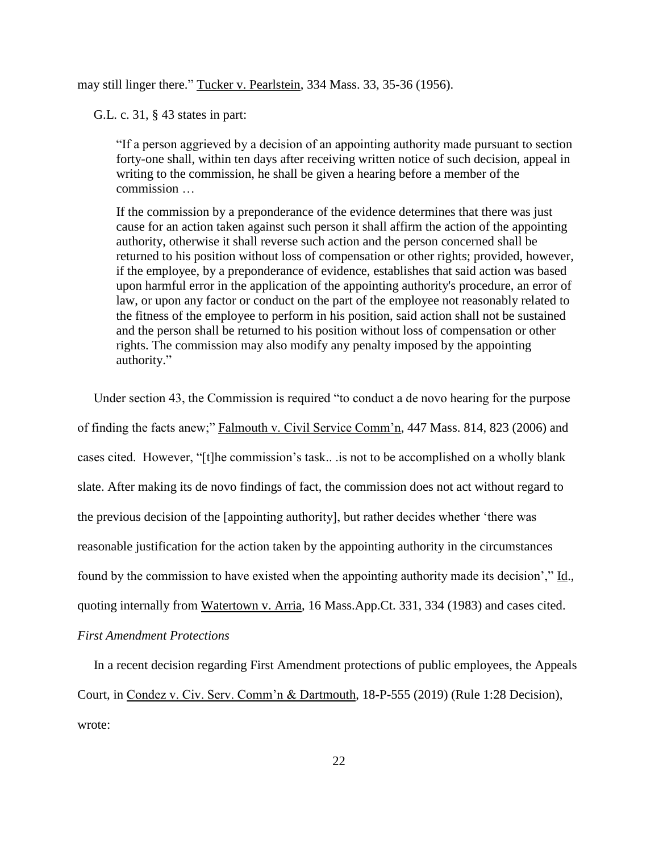may still linger there." Tucker v. Pearlstein, 334 Mass. 33, 35-36 (1956).

G.L. c. 31, § 43 states in part:

"If a person aggrieved by a decision of an appointing authority made pursuant to section forty-one shall, within ten days after receiving written notice of such decision, appeal in writing to the commission, he shall be given a hearing before a member of the commission …

If the commission by a preponderance of the evidence determines that there was just cause for an action taken against such person it shall affirm the action of the appointing authority, otherwise it shall reverse such action and the person concerned shall be returned to his position without loss of compensation or other rights; provided, however, if the employee, by a preponderance of evidence, establishes that said action was based upon harmful error in the application of the appointing authority's procedure, an error of law, or upon any factor or conduct on the part of the employee not reasonably related to the fitness of the employee to perform in his position, said action shall not be sustained and the person shall be returned to his position without loss of compensation or other rights. The commission may also modify any penalty imposed by the appointing authority."

 Under section 43, the Commission is required "to conduct a de novo hearing for the purpose of finding the facts anew;" Falmouth v. Civil Service Comm'n, 447 Mass. 814, 823 (2006) and cases cited. However, "[t]he commission's task.. .is not to be accomplished on a wholly blank slate. After making its de novo findings of fact, the commission does not act without regard to the previous decision of the [appointing authority], but rather decides whether 'there was reasonable justification for the action taken by the appointing authority in the circumstances found by the commission to have existed when the appointing authority made its decision'," Id., quoting internally from Watertown v. Arria, 16 Mass.App.Ct. 331, 334 (1983) and cases cited.

*First Amendment Protections*

 In a recent decision regarding First Amendment protections of public employees, the Appeals Court, in Condez v. Civ. Serv. Comm'n & Dartmouth, 18-P-555 (2019) (Rule 1:28 Decision), wrote: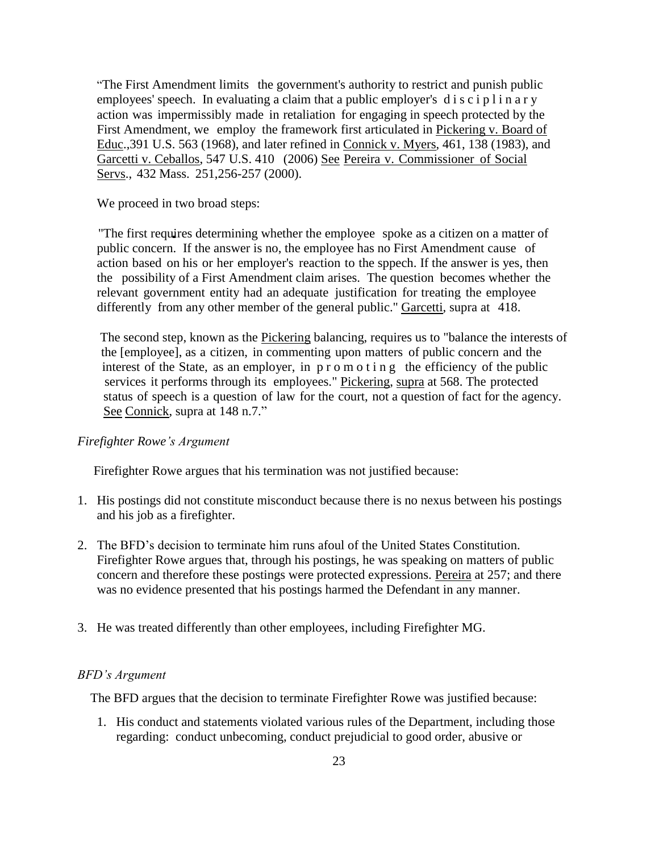"The First Amendment limits the government's authority to restrict and punish public employees' speech. In evaluating a claim that a public employer's  $\overline{d}$  is  $\overline{c}$  ip l in a r y action was impermissibly made in retaliation for engaging in speech protected by the First Amendment, we employ the framework first articulated in Pickering v. Board of Educ.,391 U.S. 563 (1968), and later refined in Connick v. Myers, 461, 138 (1983), and Garcetti v. Ceballos, 547 U.S. 410 (2006) See Pereira v. Commissioner of Social Servs., 432 Mass. 251,256-257 (2000).

We proceed in two broad steps:

"The first requires determining whether the employee spoke as a citizen on a matter of public concern. If the answer is no, the employee has no First Amendment cause of action based on his or her employer's reaction to the sppech. If the answer is yes, then the possibility of a First Amendment claim arises. The question becomes whether the relevant government entity had an adequate justification for treating the employee differently from any other member of the general public." Garcetti, supra at 418.

 The second step, known as the Pickering balancing, requires us to "balance the interests of the [employee], as a citizen, in commenting upon matters of public concern and the interest of the State, as an employer, in p r o m o t i n g the efficiency of the public services it performs through its employees." Pickering, supra at 568. The protected status of speech is a question of law for the court, not a question of fact for the agency. See Connick, supra at 148 n.7."

## *Firefighter Rowe's Argument*

Firefighter Rowe argues that his termination was not justified because:

- 1. His postings did not constitute misconduct because there is no nexus between his postings and his job as a firefighter.
- 2. The BFD's decision to terminate him runs afoul of the United States Constitution. Firefighter Rowe argues that, through his postings, he was speaking on matters of public concern and therefore these postings were protected expressions. Pereira at 257; and there was no evidence presented that his postings harmed the Defendant in any manner.
- 3. He was treated differently than other employees, including Firefighter MG.

#### *BFD's Argument*

The BFD argues that the decision to terminate Firefighter Rowe was justified because:

1. His conduct and statements violated various rules of the Department, including those regarding: conduct unbecoming, conduct prejudicial to good order, abusive or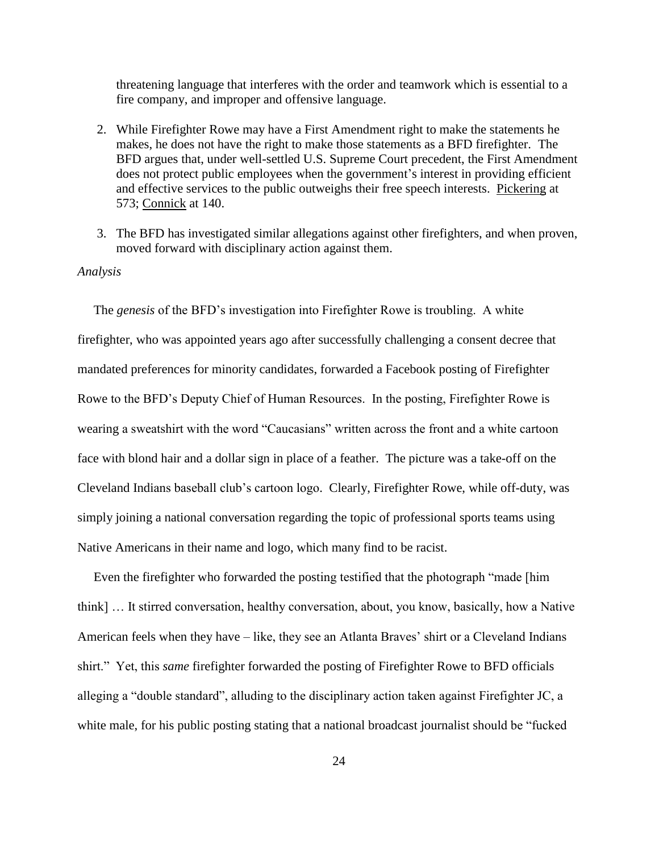threatening language that interferes with the order and teamwork which is essential to a fire company, and improper and offensive language.

- 2. While Firefighter Rowe may have a First Amendment right to make the statements he makes, he does not have the right to make those statements as a BFD firefighter. The BFD argues that, under well-settled U.S. Supreme Court precedent, the First Amendment does not protect public employees when the government's interest in providing efficient and effective services to the public outweighs their free speech interests. Pickering at 573; Connick at 140.
- 3. The BFD has investigated similar allegations against other firefighters, and when proven, moved forward with disciplinary action against them.

# *Analysis*

 The *genesis* of the BFD's investigation into Firefighter Rowe is troubling. A white firefighter, who was appointed years ago after successfully challenging a consent decree that mandated preferences for minority candidates, forwarded a Facebook posting of Firefighter Rowe to the BFD's Deputy Chief of Human Resources. In the posting, Firefighter Rowe is wearing a sweatshirt with the word "Caucasians" written across the front and a white cartoon face with blond hair and a dollar sign in place of a feather. The picture was a take-off on the Cleveland Indians baseball club's cartoon logo. Clearly, Firefighter Rowe, while off-duty, was simply joining a national conversation regarding the topic of professional sports teams using Native Americans in their name and logo, which many find to be racist.

 Even the firefighter who forwarded the posting testified that the photograph "made [him think] … It stirred conversation, healthy conversation, about, you know, basically, how a Native American feels when they have – like, they see an Atlanta Braves' shirt or a Cleveland Indians shirt." Yet, this *same* firefighter forwarded the posting of Firefighter Rowe to BFD officials alleging a "double standard", alluding to the disciplinary action taken against Firefighter JC, a white male, for his public posting stating that a national broadcast journalist should be "fucked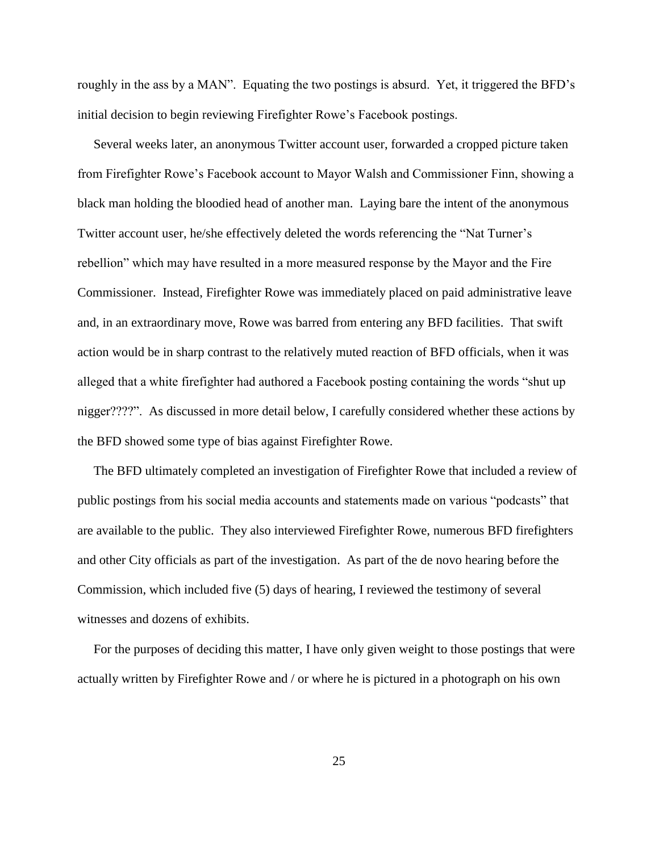roughly in the ass by a MAN". Equating the two postings is absurd. Yet, it triggered the BFD's initial decision to begin reviewing Firefighter Rowe's Facebook postings.

 Several weeks later, an anonymous Twitter account user, forwarded a cropped picture taken from Firefighter Rowe's Facebook account to Mayor Walsh and Commissioner Finn, showing a black man holding the bloodied head of another man. Laying bare the intent of the anonymous Twitter account user, he/she effectively deleted the words referencing the "Nat Turner's rebellion" which may have resulted in a more measured response by the Mayor and the Fire Commissioner. Instead, Firefighter Rowe was immediately placed on paid administrative leave and, in an extraordinary move, Rowe was barred from entering any BFD facilities. That swift action would be in sharp contrast to the relatively muted reaction of BFD officials, when it was alleged that a white firefighter had authored a Facebook posting containing the words "shut up nigger????". As discussed in more detail below, I carefully considered whether these actions by the BFD showed some type of bias against Firefighter Rowe.

 The BFD ultimately completed an investigation of Firefighter Rowe that included a review of public postings from his social media accounts and statements made on various "podcasts" that are available to the public. They also interviewed Firefighter Rowe, numerous BFD firefighters and other City officials as part of the investigation. As part of the de novo hearing before the Commission, which included five (5) days of hearing, I reviewed the testimony of several witnesses and dozens of exhibits.

 For the purposes of deciding this matter, I have only given weight to those postings that were actually written by Firefighter Rowe and / or where he is pictured in a photograph on his own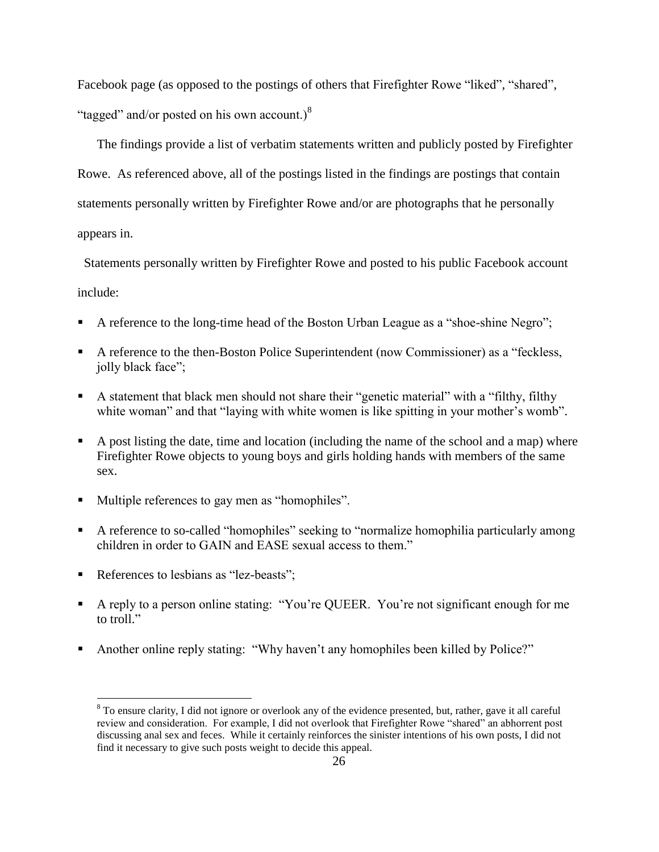Facebook page (as opposed to the postings of others that Firefighter Rowe "liked", "shared", "tagged" and/or posted on his own account.) $8$ 

 The findings provide a list of verbatim statements written and publicly posted by Firefighter Rowe. As referenced above, all of the postings listed in the findings are postings that contain statements personally written by Firefighter Rowe and/or are photographs that he personally appears in.

 Statements personally written by Firefighter Rowe and posted to his public Facebook account include:

- A reference to the long-time head of the Boston Urban League as a "shoe-shine Negro";
- A reference to the then-Boston Police Superintendent (now Commissioner) as a "feckless, jolly black face";
- A statement that black men should not share their "genetic material" with a "filthy, filthy white woman" and that "laying with white women is like spitting in your mother's womb".
- A post listing the date, time and location (including the name of the school and a map) where Firefighter Rowe objects to young boys and girls holding hands with members of the same sex.
- Multiple references to gay men as "homophiles".
- A reference to so-called "homophiles" seeking to "normalize homophilia particularly among children in order to GAIN and EASE sexual access to them."
- References to lesbians as "lez-beasts";

 $\overline{a}$ 

- A reply to a person online stating: "You're QUEER. You're not significant enough for me to troll."
- Another online reply stating: "Why haven't any homophiles been killed by Police?"

<sup>&</sup>lt;sup>8</sup> To ensure clarity, I did not ignore or overlook any of the evidence presented, but, rather, gave it all careful review and consideration. For example, I did not overlook that Firefighter Rowe "shared" an abhorrent post discussing anal sex and feces. While it certainly reinforces the sinister intentions of his own posts, I did not find it necessary to give such posts weight to decide this appeal.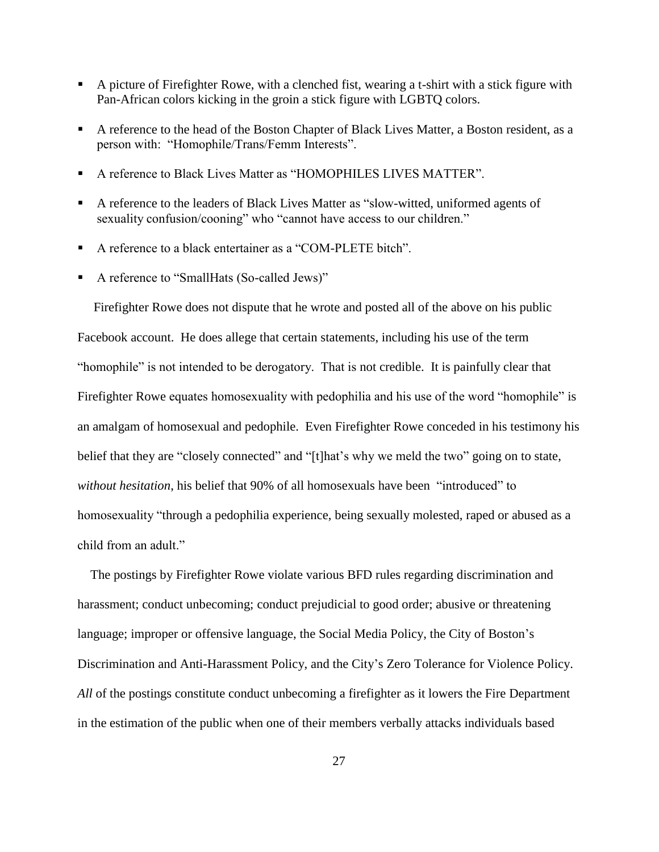- A picture of Firefighter Rowe, with a clenched fist, wearing a t-shirt with a stick figure with Pan-African colors kicking in the groin a stick figure with LGBTQ colors.
- A reference to the head of the Boston Chapter of Black Lives Matter, a Boston resident, as a person with: "Homophile/Trans/Femm Interests".
- A reference to Black Lives Matter as "HOMOPHILES LIVES MATTER".
- A reference to the leaders of Black Lives Matter as "slow-witted, uniformed agents of sexuality confusion/cooning" who "cannot have access to our children."
- A reference to a black entertainer as a "COM-PLETE bitch".
- A reference to "SmallHats (So-called Jews)"

 Firefighter Rowe does not dispute that he wrote and posted all of the above on his public Facebook account. He does allege that certain statements, including his use of the term "homophile" is not intended to be derogatory. That is not credible. It is painfully clear that Firefighter Rowe equates homosexuality with pedophilia and his use of the word "homophile" is an amalgam of homosexual and pedophile. Even Firefighter Rowe conceded in his testimony his belief that they are "closely connected" and "[t]hat's why we meld the two" going on to state, *without hesitation*, his belief that 90% of all homosexuals have been "introduced" to homosexuality "through a pedophilia experience, being sexually molested, raped or abused as a child from an adult."

 The postings by Firefighter Rowe violate various BFD rules regarding discrimination and harassment; conduct unbecoming; conduct prejudicial to good order; abusive or threatening language; improper or offensive language, the Social Media Policy, the City of Boston's Discrimination and Anti-Harassment Policy, and the City's Zero Tolerance for Violence Policy. *All* of the postings constitute conduct unbecoming a firefighter as it lowers the Fire Department in the estimation of the public when one of their members verbally attacks individuals based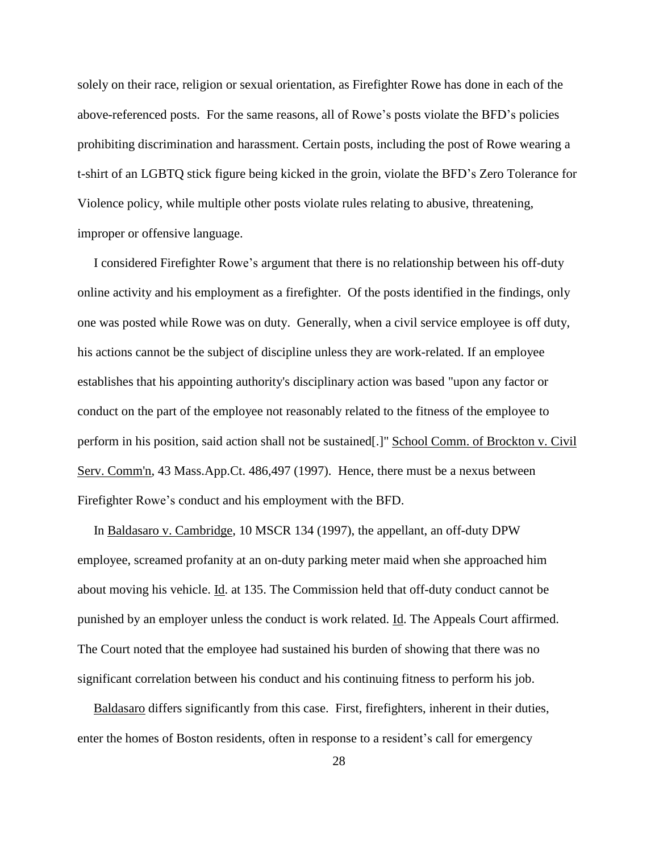solely on their race, religion or sexual orientation, as Firefighter Rowe has done in each of the above-referenced posts. For the same reasons, all of Rowe's posts violate the BFD's policies prohibiting discrimination and harassment. Certain posts, including the post of Rowe wearing a t-shirt of an LGBTQ stick figure being kicked in the groin, violate the BFD's Zero Tolerance for Violence policy, while multiple other posts violate rules relating to abusive, threatening, improper or offensive language.

 I considered Firefighter Rowe's argument that there is no relationship between his off-duty online activity and his employment as a firefighter. Of the posts identified in the findings, only one was posted while Rowe was on duty. Generally, when a civil service employee is off duty, his actions cannot be the subject of discipline unless they are work-related. If an employee establishes that his appointing authority's disciplinary action was based "upon any factor or conduct on the part of the employee not reasonably related to the fitness of the employee to perform in his position, said action shall not be sustained[.]" School Comm. of Brockton v. Civil Serv. Comm'n, 43 Mass.App.Ct. 486,497 (1997). Hence, there must be a nexus between Firefighter Rowe's conduct and his employment with the BFD.

 In Baldasaro v. Cambridge, 10 MSCR 134 (1997), the appellant, an off-duty DPW employee, screamed profanity at an on-duty parking meter maid when she approached him about moving his vehicle. Id. at 135. The Commission held that off-duty conduct cannot be punished by an employer unless the conduct is work related. Id. The Appeals Court affirmed. The Court noted that the employee had sustained his burden of showing that there was no significant correlation between his conduct and his continuing fitness to perform his job.

 Baldasaro differs significantly from this case. First, firefighters, inherent in their duties, enter the homes of Boston residents, often in response to a resident's call for emergency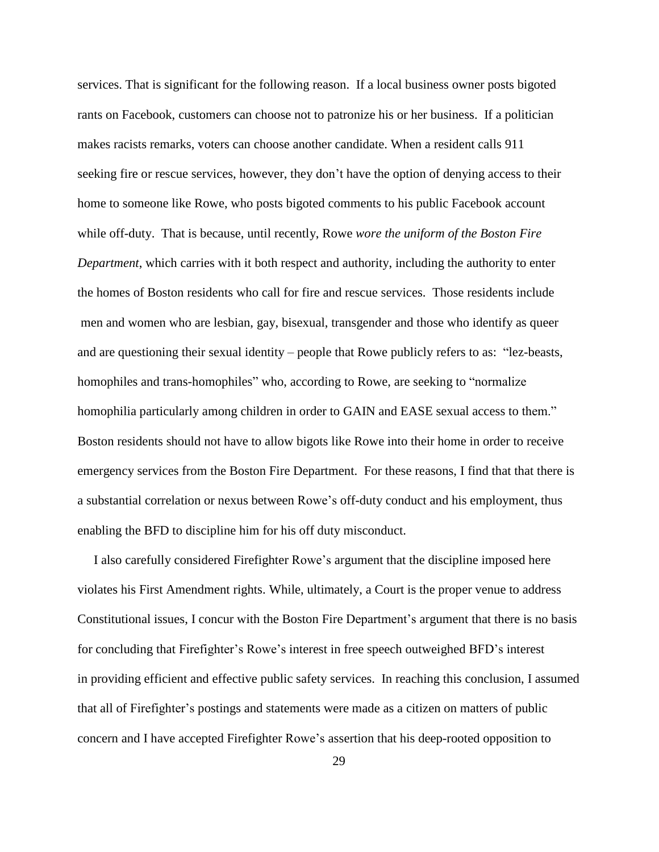services. That is significant for the following reason. If a local business owner posts bigoted rants on Facebook, customers can choose not to patronize his or her business. If a politician makes racists remarks, voters can choose another candidate. When a resident calls 911 seeking fire or rescue services, however, they don't have the option of denying access to their home to someone like Rowe, who posts bigoted comments to his public Facebook account while off-duty. That is because, until recently, Rowe *wore the uniform of the Boston Fire Department*, which carries with it both respect and authority, including the authority to enter the homes of Boston residents who call for fire and rescue services. Those residents include men and women who are lesbian, gay, bisexual, transgender and those who identify as queer and are questioning their sexual identity – people that Rowe publicly refers to as: "lez-beasts, homophiles and trans-homophiles" who, according to Rowe, are seeking to "normalize" homophilia particularly among children in order to GAIN and EASE sexual access to them." Boston residents should not have to allow bigots like Rowe into their home in order to receive emergency services from the Boston Fire Department. For these reasons, I find that that there is a substantial correlation or nexus between Rowe's off-duty conduct and his employment, thus enabling the BFD to discipline him for his off duty misconduct.

 I also carefully considered Firefighter Rowe's argument that the discipline imposed here violates his First Amendment rights. While, ultimately, a Court is the proper venue to address Constitutional issues, I concur with the Boston Fire Department's argument that there is no basis for concluding that Firefighter's Rowe's interest in free speech outweighed BFD's interest in providing efficient and effective public safety services. In reaching this conclusion, I assumed that all of Firefighter's postings and statements were made as a citizen on matters of public concern and I have accepted Firefighter Rowe's assertion that his deep-rooted opposition to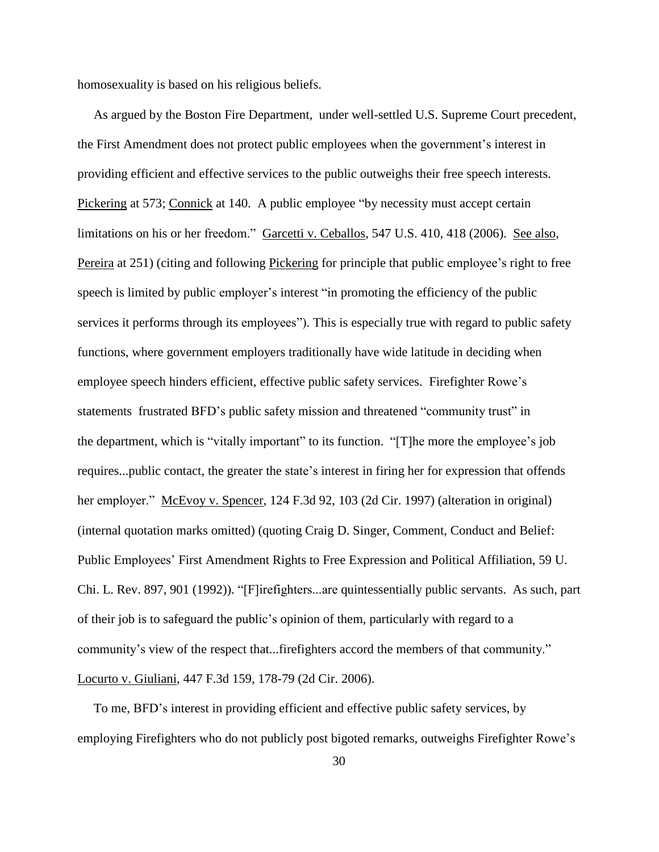homosexuality is based on his religious beliefs.

 As argued by the Boston Fire Department, under well-settled U.S. Supreme Court precedent, the First Amendment does not protect public employees when the government's interest in providing efficient and effective services to the public outweighs their free speech interests. Pickering at 573; Connick at 140. A public employee "by necessity must accept certain limitations on his or her freedom." Garcetti v. Ceballos, 547 U.S. 410, 418 (2006). See also, Pereira at 251) (citing and following Pickering for principle that public employee's right to free speech is limited by public employer's interest "in promoting the efficiency of the public services it performs through its employees"). This is especially true with regard to public safety functions, where government employers traditionally have wide latitude in deciding when employee speech hinders efficient, effective public safety services. Firefighter Rowe's statements frustrated BFD's public safety mission and threatened "community trust" in the department, which is "vitally important" to its function. "[T]he more the employee's job requires...public contact, the greater the state's interest in firing her for expression that offends her employer." McEvoy v. Spencer, 124 F.3d 92, 103 (2d Cir. 1997) (alteration in original) (internal quotation marks omitted) (quoting Craig D. Singer, Comment, Conduct and Belief: Public Employees' First Amendment Rights to Free Expression and Political Affiliation, 59 U. Chi. L. Rev. 897, 901 (1992)). "[F]irefighters...are quintessentially public servants. As such, part of their job is to safeguard the public's opinion of them, particularly with regard to a community's view of the respect that...firefighters accord the members of that community." Locurto v. Giuliani, 447 F.3d 159, 178-79 (2d Cir. 2006).

 To me, BFD's interest in providing efficient and effective public safety services, by employing Firefighters who do not publicly post bigoted remarks, outweighs Firefighter Rowe's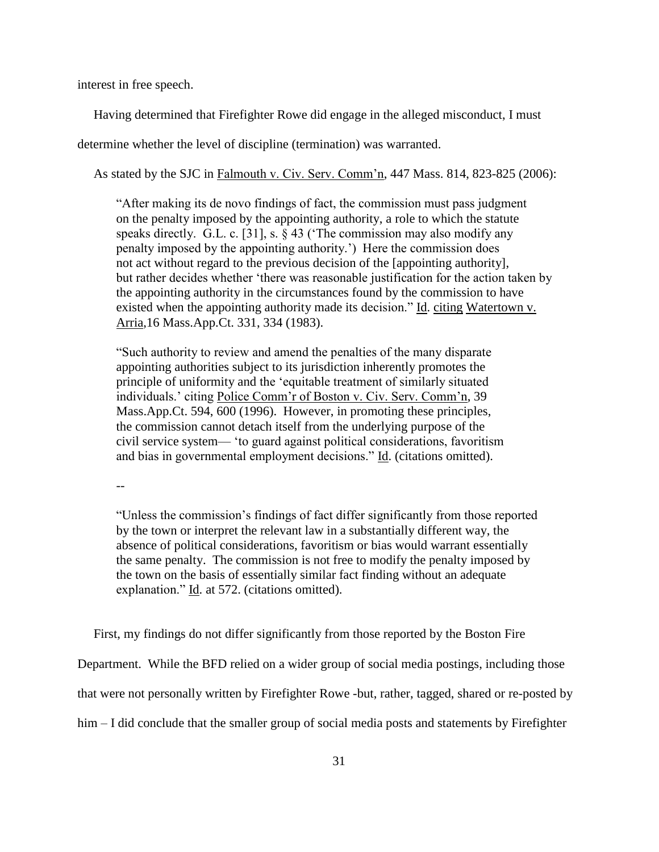interest in free speech.

Having determined that Firefighter Rowe did engage in the alleged misconduct, I must

determine whether the level of discipline (termination) was warranted.

As stated by the SJC in Falmouth v. Civ. Serv. Comm'n, 447 Mass. 814, 823-825 (2006):

 "After making its de novo findings of fact, the commission must pass judgment on the penalty imposed by the appointing authority, a role to which the statute speaks directly. G.L. c. [31], s. § 43 ('The commission may also modify any penalty imposed by the appointing authority.') Here the commission does not act without regard to the previous decision of the [appointing authority], but rather decides whether 'there was reasonable justification for the action taken by the appointing authority in the circumstances found by the commission to have existed when the appointing authority made its decision." Id. citing Watertown v. Arria,16 Mass.App.Ct. 331, 334 (1983).

"Such authority to review and amend the penalties of the many disparate appointing authorities subject to its jurisdiction inherently promotes the principle of uniformity and the 'equitable treatment of similarly situated individuals.' citing Police Comm'r of Boston v. Civ. Serv. Comm'n, 39 Mass.App.Ct. 594, 600 (1996). However, in promoting these principles, the commission cannot detach itself from the underlying purpose of the civil service system— 'to guard against political considerations, favoritism and bias in governmental employment decisions." Id. (citations omitted).

--

"Unless the commission's findings of fact differ significantly from those reported by the town or interpret the relevant law in a substantially different way, the absence of political considerations, favoritism or bias would warrant essentially the same penalty. The commission is not free to modify the penalty imposed by the town on the basis of essentially similar fact finding without an adequate explanation." Id. at 572. (citations omitted).

First, my findings do not differ significantly from those reported by the Boston Fire

Department. While the BFD relied on a wider group of social media postings, including those

that were not personally written by Firefighter Rowe -but, rather, tagged, shared or re-posted by

him – I did conclude that the smaller group of social media posts and statements by Firefighter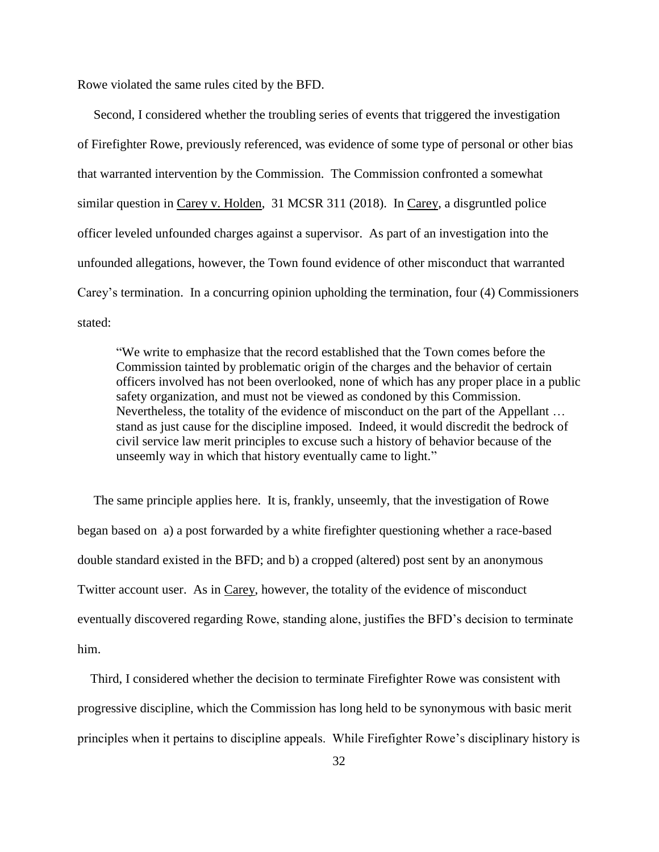Rowe violated the same rules cited by the BFD.

 Second, I considered whether the troubling series of events that triggered the investigation of Firefighter Rowe, previously referenced, was evidence of some type of personal or other bias that warranted intervention by the Commission. The Commission confronted a somewhat similar question in Carey v. Holden, 31 MCSR 311 (2018). In Carey, a disgruntled police officer leveled unfounded charges against a supervisor. As part of an investigation into the unfounded allegations, however, the Town found evidence of other misconduct that warranted Carey's termination. In a concurring opinion upholding the termination, four (4) Commissioners stated:

"We write to emphasize that the record established that the Town comes before the Commission tainted by problematic origin of the charges and the behavior of certain officers involved has not been overlooked, none of which has any proper place in a public safety organization, and must not be viewed as condoned by this Commission. Nevertheless, the totality of the evidence of misconduct on the part of the Appellant … stand as just cause for the discipline imposed. Indeed, it would discredit the bedrock of civil service law merit principles to excuse such a history of behavior because of the unseemly way in which that history eventually came to light."

 The same principle applies here. It is, frankly, unseemly, that the investigation of Rowe began based on a) a post forwarded by a white firefighter questioning whether a race-based double standard existed in the BFD; and b) a cropped (altered) post sent by an anonymous Twitter account user. As in Carey, however, the totality of the evidence of misconduct eventually discovered regarding Rowe, standing alone, justifies the BFD's decision to terminate him.

 Third, I considered whether the decision to terminate Firefighter Rowe was consistent with progressive discipline, which the Commission has long held to be synonymous with basic merit principles when it pertains to discipline appeals. While Firefighter Rowe's disciplinary history is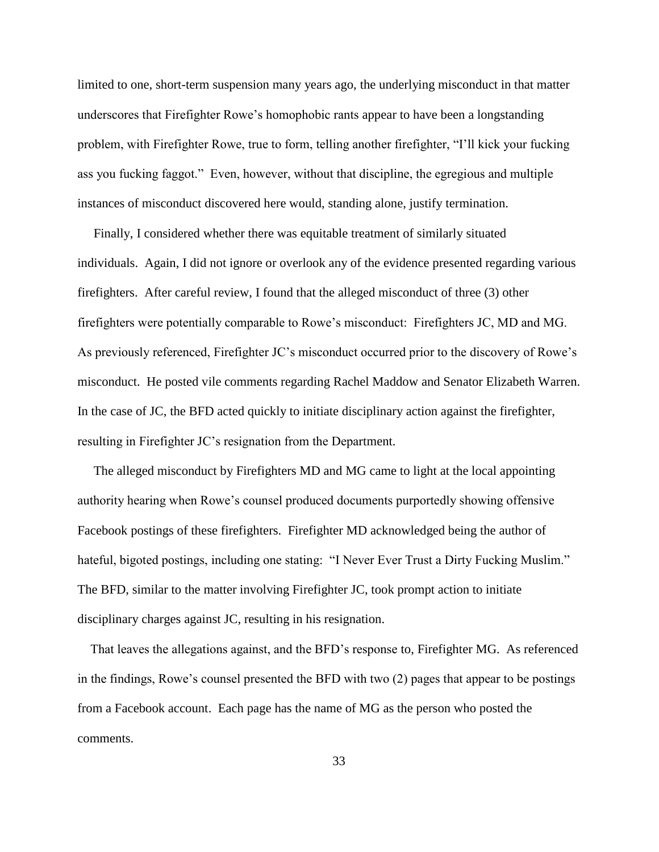limited to one, short-term suspension many years ago, the underlying misconduct in that matter underscores that Firefighter Rowe's homophobic rants appear to have been a longstanding problem, with Firefighter Rowe, true to form, telling another firefighter, "I'll kick your fucking ass you fucking faggot." Even, however, without that discipline, the egregious and multiple instances of misconduct discovered here would, standing alone, justify termination.

 Finally, I considered whether there was equitable treatment of similarly situated individuals. Again, I did not ignore or overlook any of the evidence presented regarding various firefighters. After careful review, I found that the alleged misconduct of three (3) other firefighters were potentially comparable to Rowe's misconduct: Firefighters JC, MD and MG. As previously referenced, Firefighter JC's misconduct occurred prior to the discovery of Rowe's misconduct. He posted vile comments regarding Rachel Maddow and Senator Elizabeth Warren. In the case of JC, the BFD acted quickly to initiate disciplinary action against the firefighter, resulting in Firefighter JC's resignation from the Department.

 The alleged misconduct by Firefighters MD and MG came to light at the local appointing authority hearing when Rowe's counsel produced documents purportedly showing offensive Facebook postings of these firefighters. Firefighter MD acknowledged being the author of hateful, bigoted postings, including one stating: "I Never Ever Trust a Dirty Fucking Muslim." The BFD, similar to the matter involving Firefighter JC, took prompt action to initiate disciplinary charges against JC, resulting in his resignation.

 That leaves the allegations against, and the BFD's response to, Firefighter MG. As referenced in the findings, Rowe's counsel presented the BFD with two (2) pages that appear to be postings from a Facebook account. Each page has the name of MG as the person who posted the comments.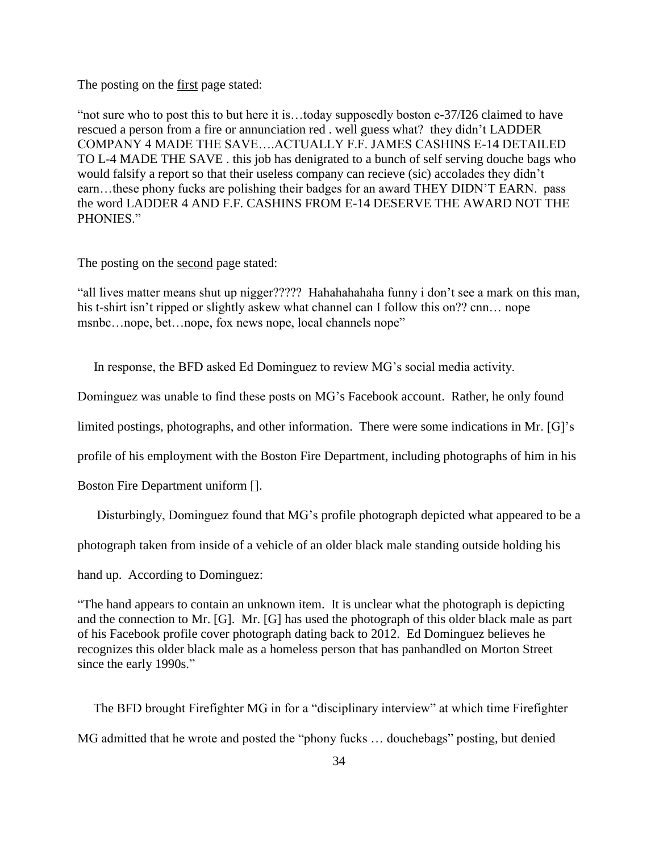The posting on the first page stated:

"not sure who to post this to but here it is…today supposedly boston e-37/I26 claimed to have rescued a person from a fire or annunciation red . well guess what? they didn't LADDER COMPANY 4 MADE THE SAVE….ACTUALLY F.F. JAMES CASHINS E-14 DETAILED TO L-4 MADE THE SAVE . this job has denigrated to a bunch of self serving douche bags who would falsify a report so that their useless company can recieve (sic) accolades they didn't earn…these phony fucks are polishing their badges for an award THEY DIDN'T EARN. pass the word LADDER 4 AND F.F. CASHINS FROM E-14 DESERVE THE AWARD NOT THE PHONIES."

The posting on the second page stated:

"all lives matter means shut up nigger????? Hahahahahaha funny i don't see a mark on this man, his t-shirt isn't ripped or slightly askew what channel can I follow this on?? cnn... nope msnbc...nope, bet...nope, fox news nope, local channels nope"

In response, the BFD asked Ed Dominguez to review MG's social media activity.

Dominguez was unable to find these posts on MG's Facebook account. Rather, he only found

limited postings, photographs, and other information. There were some indications in Mr. [G]'s

profile of his employment with the Boston Fire Department, including photographs of him in his

Boston Fire Department uniform [].

Disturbingly, Dominguez found that MG's profile photograph depicted what appeared to be a

photograph taken from inside of a vehicle of an older black male standing outside holding his

hand up. According to Dominguez:

"The hand appears to contain an unknown item. It is unclear what the photograph is depicting and the connection to Mr. [G]. Mr. [G] has used the photograph of this older black male as part of his Facebook profile cover photograph dating back to 2012. Ed Dominguez believes he recognizes this older black male as a homeless person that has panhandled on Morton Street since the early 1990s."

 The BFD brought Firefighter MG in for a "disciplinary interview" at which time Firefighter MG admitted that he wrote and posted the "phony fucks … douchebags" posting, but denied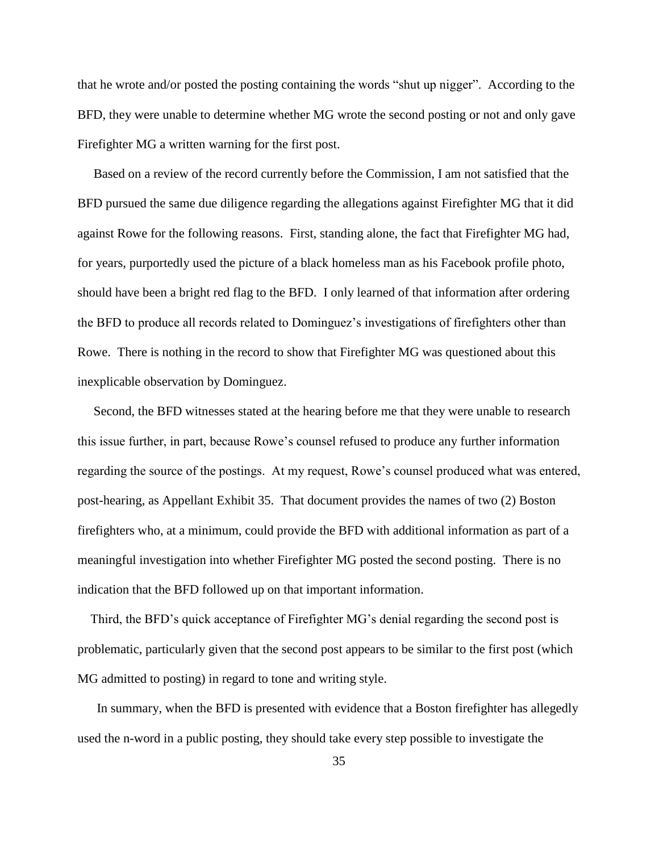that he wrote and/or posted the posting containing the words "shut up nigger". According to the BFD, they were unable to determine whether MG wrote the second posting or not and only gave Firefighter MG a written warning for the first post.

 Based on a review of the record currently before the Commission, I am not satisfied that the BFD pursued the same due diligence regarding the allegations against Firefighter MG that it did against Rowe for the following reasons. First, standing alone, the fact that Firefighter MG had, for years, purportedly used the picture of a black homeless man as his Facebook profile photo, should have been a bright red flag to the BFD. I only learned of that information after ordering the BFD to produce all records related to Dominguez's investigations of firefighters other than Rowe. There is nothing in the record to show that Firefighter MG was questioned about this inexplicable observation by Dominguez.

 Second, the BFD witnesses stated at the hearing before me that they were unable to research this issue further, in part, because Rowe's counsel refused to produce any further information regarding the source of the postings. At my request, Rowe's counsel produced what was entered, post-hearing, as Appellant Exhibit 35. That document provides the names of two (2) Boston firefighters who, at a minimum, could provide the BFD with additional information as part of a meaningful investigation into whether Firefighter MG posted the second posting. There is no indication that the BFD followed up on that important information.

 Third, the BFD's quick acceptance of Firefighter MG's denial regarding the second post is problematic, particularly given that the second post appears to be similar to the first post (which MG admitted to posting) in regard to tone and writing style.

 In summary, when the BFD is presented with evidence that a Boston firefighter has allegedly used the n-word in a public posting, they should take every step possible to investigate the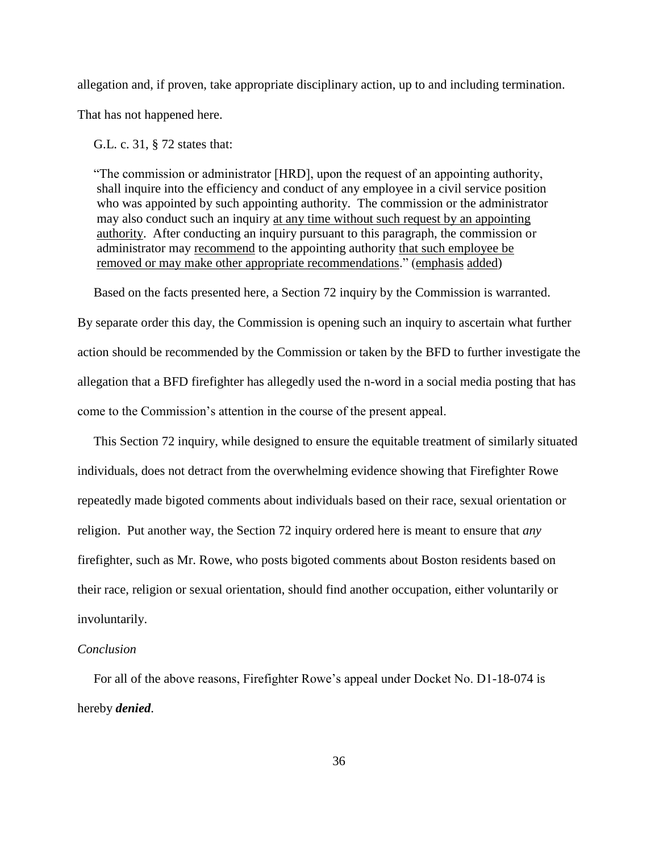allegation and, if proven, take appropriate disciplinary action, up to and including termination.

That has not happened here.

G.L. c. 31, § 72 states that:

 "The commission or administrator [HRD], upon the request of an appointing authority, shall inquire into the efficiency and conduct of any employee in a civil service position who was appointed by such appointing authority. The commission or the administrator may also conduct such an inquiry at any time without such request by an appointing authority. After conducting an inquiry pursuant to this paragraph, the commission or administrator may recommend to the appointing authority that such employee be removed or may make other appropriate recommendations." (emphasis added)

Based on the facts presented here, a Section 72 inquiry by the Commission is warranted.

By separate order this day, the Commission is opening such an inquiry to ascertain what further action should be recommended by the Commission or taken by the BFD to further investigate the allegation that a BFD firefighter has allegedly used the n-word in a social media posting that has come to the Commission's attention in the course of the present appeal.

 This Section 72 inquiry, while designed to ensure the equitable treatment of similarly situated individuals, does not detract from the overwhelming evidence showing that Firefighter Rowe repeatedly made bigoted comments about individuals based on their race, sexual orientation or religion. Put another way, the Section 72 inquiry ordered here is meant to ensure that *any* firefighter, such as Mr. Rowe, who posts bigoted comments about Boston residents based on their race, religion or sexual orientation, should find another occupation, either voluntarily or involuntarily.

#### *Conclusion*

 For all of the above reasons, Firefighter Rowe's appeal under Docket No. D1-18-074 is hereby *denied*.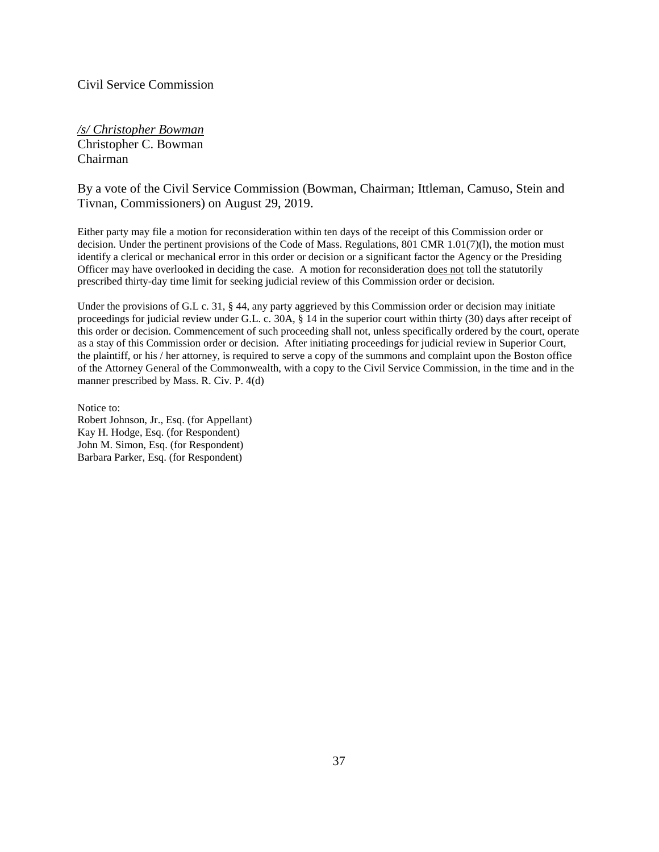## Civil Service Commission

*/s/ Christopher Bowman* Christopher C. Bowman Chairman

# By a vote of the Civil Service Commission (Bowman, Chairman; Ittleman, Camuso, Stein and Tivnan, Commissioners) on August 29, 2019.

Either party may file a motion for reconsideration within ten days of the receipt of this Commission order or decision. Under the pertinent provisions of the Code of Mass. Regulations, 801 CMR 1.01(7)(l), the motion must identify a clerical or mechanical error in this order or decision or a significant factor the Agency or the Presiding Officer may have overlooked in deciding the case. A motion for reconsideration does not toll the statutorily prescribed thirty-day time limit for seeking judicial review of this Commission order or decision.

Under the provisions of G.L c. 31, § 44, any party aggrieved by this Commission order or decision may initiate proceedings for judicial review under G.L. c. 30A, § 14 in the superior court within thirty (30) days after receipt of this order or decision. Commencement of such proceeding shall not, unless specifically ordered by the court, operate as a stay of this Commission order or decision. After initiating proceedings for judicial review in Superior Court, the plaintiff, or his / her attorney, is required to serve a copy of the summons and complaint upon the Boston office of the Attorney General of the Commonwealth, with a copy to the Civil Service Commission, in the time and in the manner prescribed by Mass. R. Civ. P. 4(d)

Notice to: Robert Johnson, Jr., Esq. (for Appellant) Kay H. Hodge, Esq. (for Respondent) John M. Simon, Esq. (for Respondent) Barbara Parker, Esq. (for Respondent)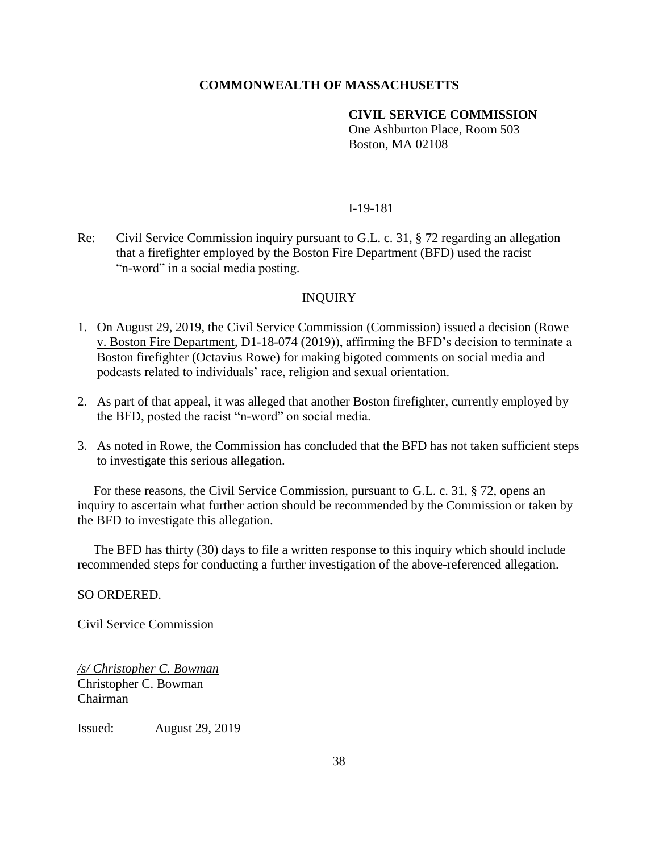# **COMMONWEALTH OF MASSACHUSETTS**

# **CIVIL SERVICE COMMISSION**

One Ashburton Place, Room 503 Boston, MA 02108

## I-19-181

Re: Civil Service Commission inquiry pursuant to G.L. c. 31, § 72 regarding an allegation that a firefighter employed by the Boston Fire Department (BFD) used the racist "n-word" in a social media posting.

## INQUIRY

- 1. On August 29, 2019, the Civil Service Commission (Commission) issued a decision (Rowe v. Boston Fire Department, D1-18-074 (2019)), affirming the BFD's decision to terminate a Boston firefighter (Octavius Rowe) for making bigoted comments on social media and podcasts related to individuals' race, religion and sexual orientation.
- 2. As part of that appeal, it was alleged that another Boston firefighter, currently employed by the BFD, posted the racist "n-word" on social media.
- 3. As noted in Rowe, the Commission has concluded that the BFD has not taken sufficient steps to investigate this serious allegation.

 For these reasons, the Civil Service Commission, pursuant to G.L. c. 31, § 72, opens an inquiry to ascertain what further action should be recommended by the Commission or taken by the BFD to investigate this allegation.

 The BFD has thirty (30) days to file a written response to this inquiry which should include recommended steps for conducting a further investigation of the above-referenced allegation.

SO ORDERED.

Civil Service Commission

*/s/ Christopher C. Bowman* Christopher C. Bowman Chairman

Issued: August 29, 2019